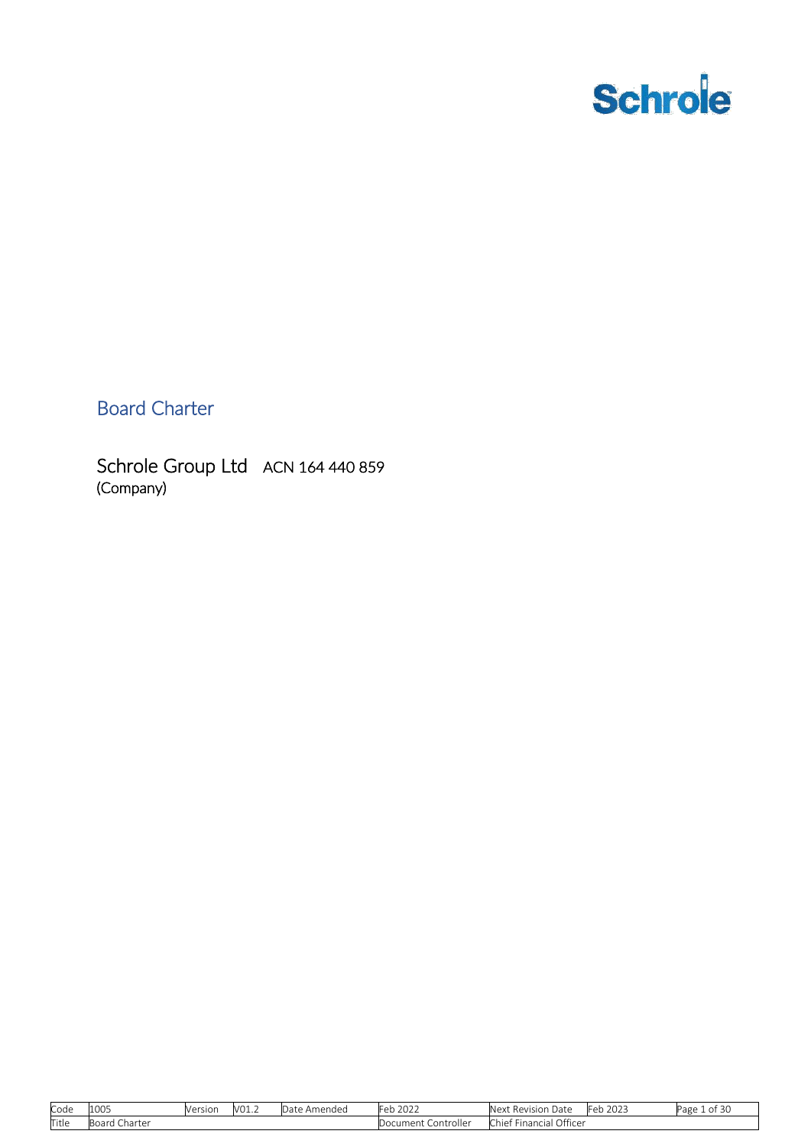

Board Charter

Schrole Group Ltd ACN 164 440 859 (Company)

| Code  | 1005                                  | Version | - VO1.2 | Amended<br>$\sim$<br>i Jate | າ∩າ'<br>$L \cap F$<br>$\overline{\phantom{a}}$ | Revision<br>Nev<br>тлатс                            | 2023<br>−اہ⊣ | $\sim$<br>ΩŤ<br>Page<br>-50 |
|-------|---------------------------------------|---------|---------|-----------------------------|------------------------------------------------|-----------------------------------------------------|--------------|-----------------------------|
| Title | $D \cap$<br>Charter<br>$\overline{r}$ |         |         |                             | Controller<br>Jocument                         | $\sim$ cc<br>. Officer<br><b>Financial</b><br>:hief |              |                             |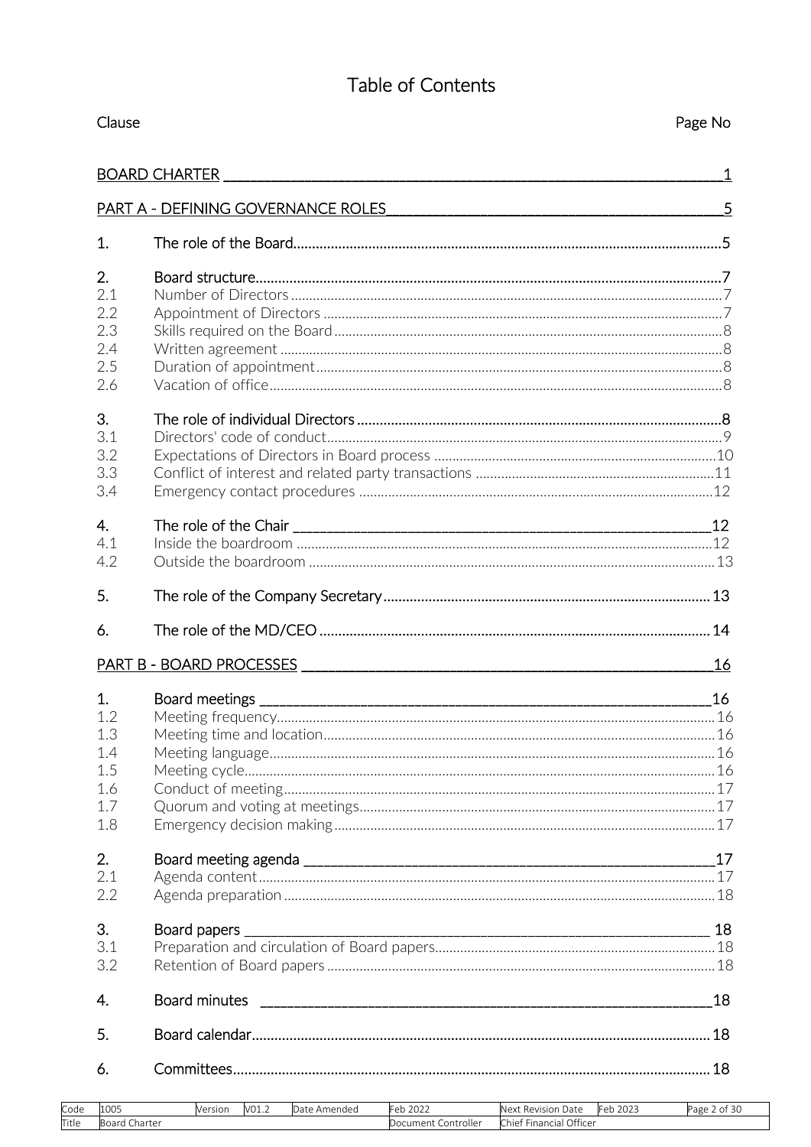# Table of Contents

| Clause |                                      | Page No      |
|--------|--------------------------------------|--------------|
|        | <b>BOARD CHARTER</b>                 | $\mathbf{1}$ |
|        | PART A - DEFINING GOVERNANCE ROLES 5 |              |
| 1.     |                                      |              |
| 2.     |                                      |              |
| 2.1    |                                      |              |
| 2.2    |                                      |              |
| 2.3    |                                      |              |
| 2.4    |                                      |              |
| 2.5    |                                      |              |
| 2.6    |                                      |              |
| 3.     |                                      |              |
| 3.1    |                                      |              |
| 3.2    |                                      |              |
| 3.3    |                                      |              |
| 3.4    |                                      |              |
| 4.     |                                      |              |
| 4.1    |                                      |              |
| 4.2    |                                      |              |
| 5.     |                                      |              |
| 6.     |                                      |              |
|        |                                      | 16           |
| 1.     |                                      | 16           |
| 1.2    |                                      |              |
| 1.3    |                                      |              |
| 1.4    |                                      |              |
| 1.5    |                                      |              |
| 1.6    |                                      |              |
| 1.7    |                                      |              |
| 1.8    |                                      |              |
| 2.     |                                      |              |
| 2.1    |                                      |              |
| 2.2    |                                      |              |
| 3.     | Board papers                         |              |
| 3.1    |                                      |              |
| 3.2    |                                      |              |
| 4.     |                                      | 18           |
| 5.     |                                      |              |
| 6.     |                                      |              |
|        |                                      |              |

| Code  | 1005             | Version | V01.2 | Amendeo<br>Date | 222<br><br>+eb.<br>ZUZZ | Next<br>Date<br>Revision                   | $\bigcap$<br>$-$<br>⊩≏⊳<br>2023 | $\sim$<br>∍age<br>0Ť<br>$\sim$ |
|-------|------------------|---------|-------|-----------------|-------------------------|--------------------------------------------|---------------------------------|--------------------------------|
| Title | Charter<br>Board |         |       |                 | Controller<br>Document  | Officer<br>$\sim$ $-$<br>Chie<br>Financial |                                 |                                |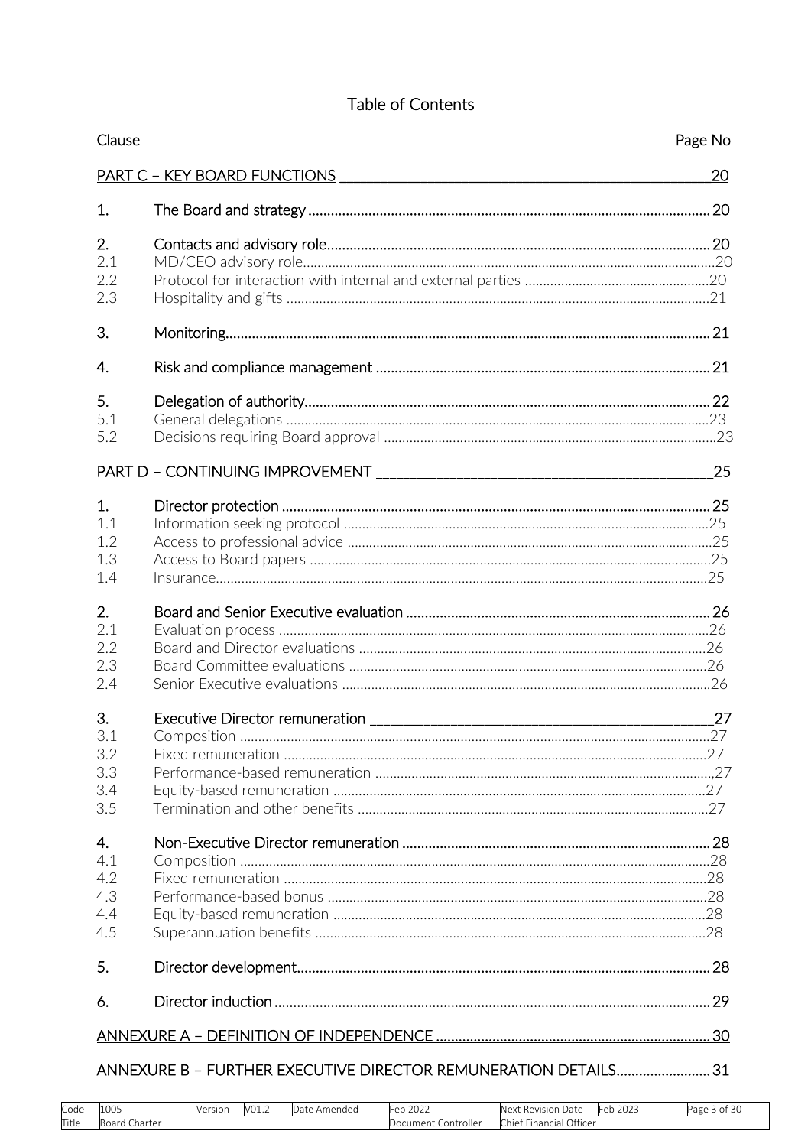## Table of Contents

| Clause                                |                                                                 | Page No |
|---------------------------------------|-----------------------------------------------------------------|---------|
|                                       |                                                                 | 20      |
| 1.                                    |                                                                 |         |
| 2.<br>2.1<br>2.2                      |                                                                 |         |
| 2.3                                   |                                                                 |         |
| 3.                                    |                                                                 |         |
| 4.                                    |                                                                 |         |
| 5.<br>5.1<br>5.2                      |                                                                 |         |
|                                       |                                                                 | 25      |
| 1.<br>1.1<br>1.2<br>1.3<br>1.4        |                                                                 |         |
| 2.<br>2.1<br>2.2<br>2.3<br>2.4        |                                                                 |         |
| 3.<br>3.1<br>3.2<br>3.3<br>3.4<br>3.5 |                                                                 | 27      |
| 4.<br>4.1<br>4.2<br>4.3<br>4.4<br>4.5 |                                                                 |         |
| 5.                                    |                                                                 |         |
| 6.                                    |                                                                 |         |
|                                       |                                                                 |         |
|                                       | ANNEXURE B - FURTHER EXECUTIVE DIRECTOR REMUNERATION DETAILS 31 |         |

| Code  | 1005   | Version | V01.2 | Amendec<br>. | 2021<br>'Feb<br>ZUZZ   | Date<br>Revision<br>Nex       | 202<br>. .<br>-⊫≏ | $\overline{3}$<br>$\sim$<br>∙age<br>. OH |
|-------|--------|---------|-------|--------------|------------------------|-------------------------------|-------------------|------------------------------------------|
| Title | harter |         |       |              | Controller<br>Jocument | Officer<br>Financial<br>Chief |                   |                                          |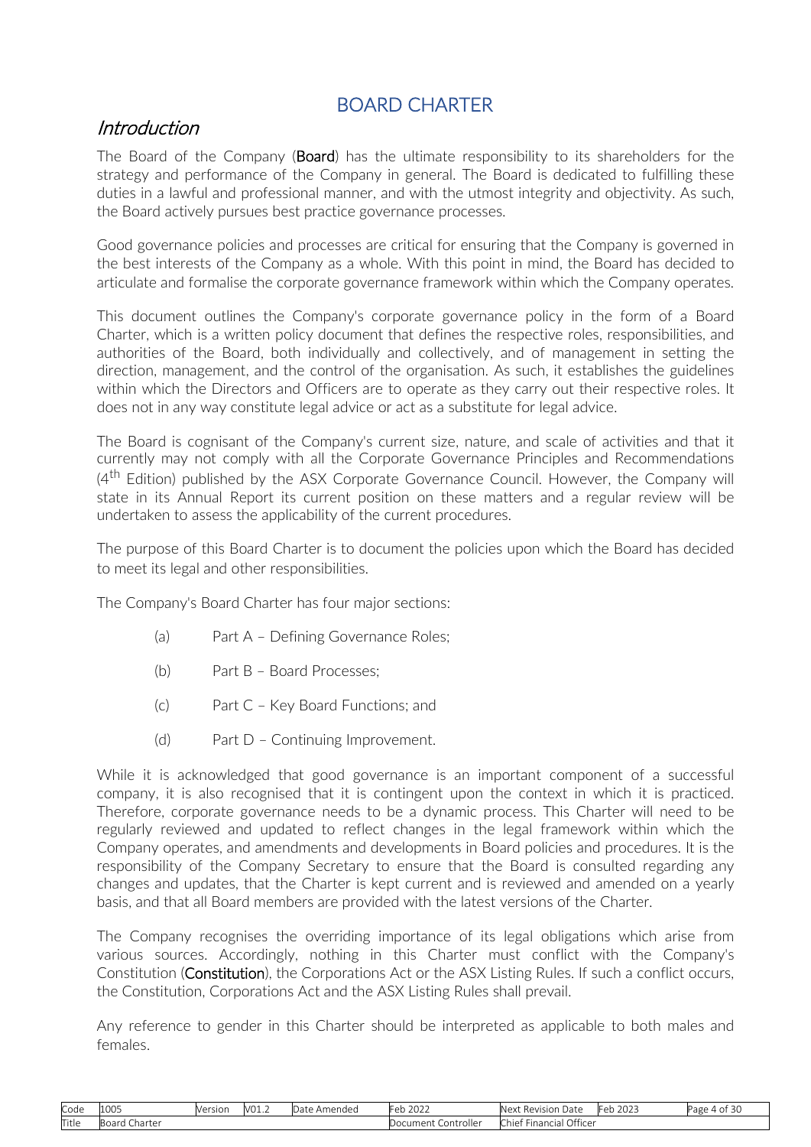# BOARD CHARTER

## <span id="page-3-0"></span>**Introduction**

The Board of the Company (**Board**) has the ultimate responsibility to its shareholders for the strategy and performance of the Company in general. The Board is dedicated to fulfilling these duties in a lawful and professional manner, and with the utmost integrity and objectivity. As such, the Board actively pursues best practice governance processes.

Good governance policies and processes are critical for ensuring that the Company is governed in the best interests of the Company as a whole. With this point in mind, the Board has decided to articulate and formalise the corporate governance framework within which the Company operates.

This document outlines the Company's corporate governance policy in the form of a Board Charter, which is a written policy document that defines the respective roles, responsibilities, and authorities of the Board, both individually and collectively, and of management in setting the direction, management, and the control of the organisation. As such, it establishes the guidelines within which the Directors and Officers are to operate as they carry out their respective roles. It does not in any way constitute legal advice or act as a substitute for legal advice.

The Board is cognisant of the Company's current size, nature, and scale of activities and that it currently may not comply with all the Corporate Governance Principles and Recommendations  $(4<sup>th</sup> Edition)$  published by the ASX Corporate Governance Council. However, the Company will state in its Annual Report its current position on these matters and a regular review will be undertaken to assess the applicability of the current procedures.

The purpose of this Board Charter is to document the policies upon which the Board has decided to meet its legal and other responsibilities.

The Company's Board Charter has four major sections:

- (a) Part A Defining Governance Roles;
- (b) Part B Board Processes;
- (c) Part C Key Board Functions; and
- (d) Part D Continuing Improvement.

While it is acknowledged that good governance is an important component of a successful company, it is also recognised that it is contingent upon the context in which it is practiced. Therefore, corporate governance needs to be a dynamic process. This Charter will need to be regularly reviewed and updated to reflect changes in the legal framework within which the Company operates, and amendments and developments in Board policies and procedures. It is the responsibility of the Company Secretary to ensure that the Board is consulted regarding any changes and updates, that the Charter is kept current and is reviewed and amended on a yearly basis, and that all Board members are provided with the latest versions of the Charter.

The Company recognises the overriding importance of its legal obligations which arise from various sources. Accordingly, nothing in this Charter must conflict with the Company's Constitution (Constitution), the Corporations Act or the ASX Listing Rules. If such a conflict occurs, the Constitution, Corporations Act and the ASX Listing Rules shall prevail.

Any reference to gender in this Charter should be interpreted as applicable to both males and females.

| Code  | 1005                          | Versior | 101<br>VUI.∠ | .)ate<br>Amended | 2022<br>~≏r<br>U M       | ∴Mev<br>Revision<br>Date                           | 2023<br>⊦er<br>. | - -<br>Page<br>0Ť<br>.<br>$\sim$ |
|-------|-------------------------------|---------|--------------|------------------|--------------------------|----------------------------------------------------|------------------|----------------------------------|
| Title | Boar<br>Charter<br>. <b>.</b> |         |              |                  | Controller<br>Document : | Officer<br><b>COLUM</b><br>-<br>Financial<br>Chief |                  |                                  |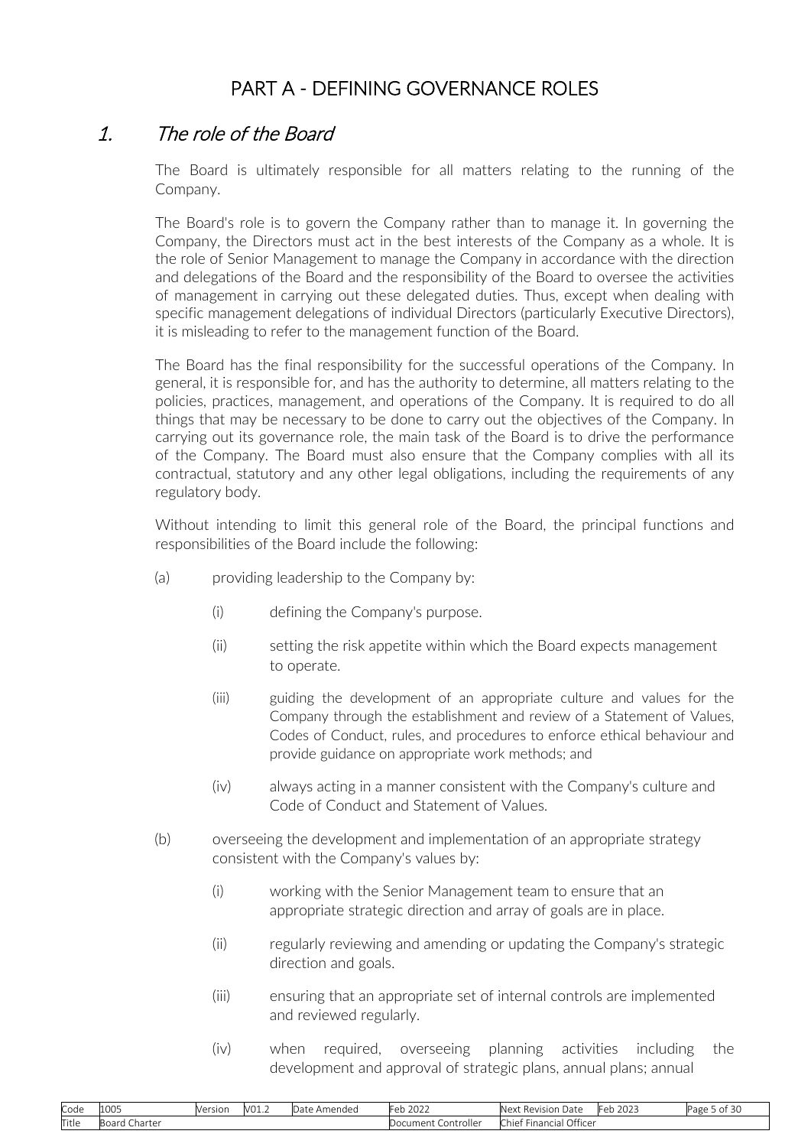# PART A - DEFINING GOVERNANCE ROLES

## <span id="page-4-0"></span>1. The role of the Board

The Board is ultimately responsible for all matters relating to the running of the Company.

The Board's role is to govern the Company rather than to manage it. In governing the Company, the Directors must act in the best interests of the Company as a whole. It is the role of Senior Management to manage the Company in accordance with the direction and delegations of the Board and the responsibility of the Board to oversee the activities of management in carrying out these delegated duties. Thus, except when dealing with specific management delegations of individual Directors (particularly Executive Directors), it is misleading to refer to the management function of the Board.

The Board has the final responsibility for the successful operations of the Company. In general, it is responsible for, and has the authority to determine, all matters relating to the policies, practices, management, and operations of the Company. It is required to do all things that may be necessary to be done to carry out the objectives of the Company. In carrying out its governance role, the main task of the Board is to drive the performance of the Company. The Board must also ensure that the Company complies with all its contractual, statutory and any other legal obligations, including the requirements of any regulatory body.

Without intending to limit this general role of the Board, the principal functions and responsibilities of the Board include the following:

- (a) providing leadership to the Company by:
	- (i) defining the Company's purpose.
	- (ii) setting the risk appetite within which the Board expects management to operate.
	- (iii) guiding the development of an appropriate culture and values for the Company through the establishment and review of a Statement of Values, Codes of Conduct, rules, and procedures to enforce ethical behaviour and provide guidance on appropriate work methods; and
	- (iv) always acting in a manner consistent with the Company's culture and Code of Conduct and Statement of Values.
- (b) overseeing the development and implementation of an appropriate strategy consistent with the Company's values by:
	- (i) working with the Senior Management team to ensure that an appropriate strategic direction and array of goals are in place.
	- (ii) regularly reviewing and amending or updating the Company's strategic direction and goals.
	- (iii) ensuring that an appropriate set of internal controls are implemented and reviewed regularly.
	- (iv) when required, overseeing planning activities including the development and approval of strategic plans, annual plans; annual

| Code  | 1000<br>LUUS  | Version | V01. | Amended '<br>Date | Feb<br>2022<br>2022 | Next Revision Date      | Feb<br>2023 | . of 30<br><sup>D</sup> age |
|-------|---------------|---------|------|-------------------|---------------------|-------------------------|-------------|-----------------------------|
| Title | Board Charter |         |      |                   | Document Controller | Chief Financial Officer |             |                             |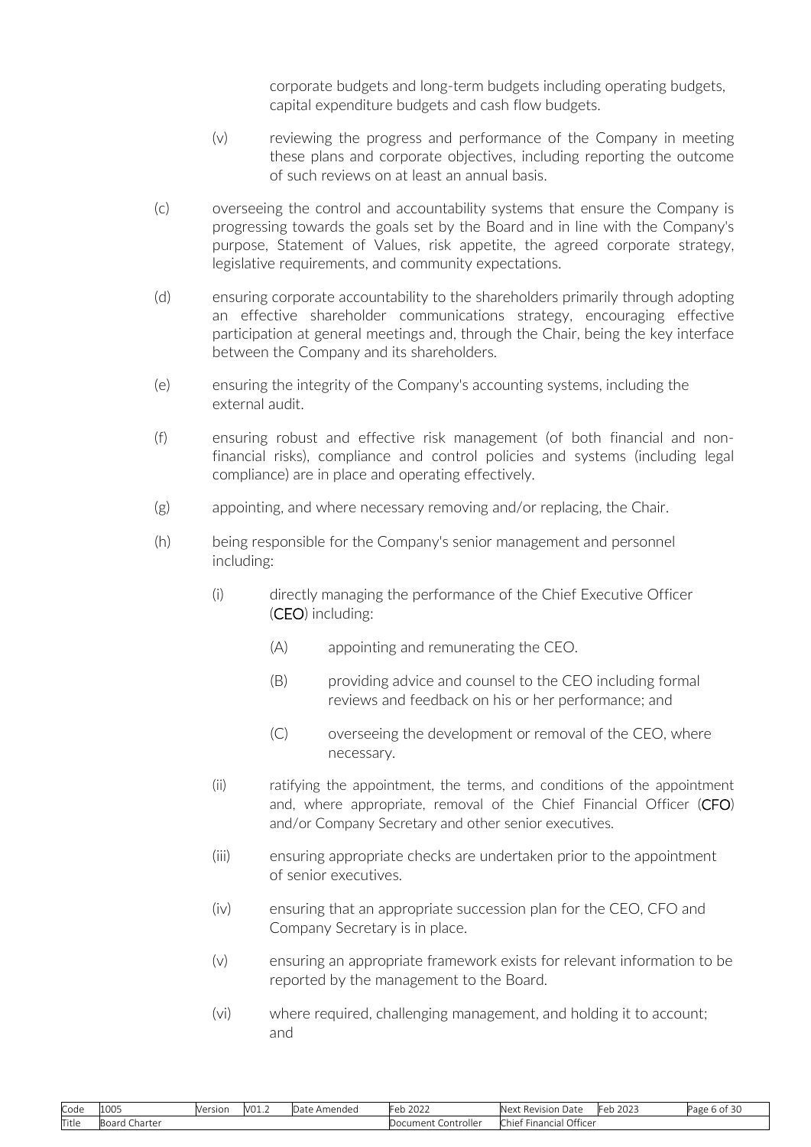corporate budgets and long-term budgets including operating budgets, capital expenditure budgets and cash flow budgets.

- (v) reviewing the progress and performance of the Company in meeting these plans and corporate objectives, including reporting the outcome of such reviews on at least an annual basis.
- (c) overseeing the control and accountability systems that ensure the Company is progressing towards the goals set by the Board and in line with the Company's purpose, Statement of Values, risk appetite, the agreed corporate strategy, legislative requirements, and community expectations.
- (d) ensuring corporate accountability to the shareholders primarily through adopting an effective shareholder communications strategy, encouraging effective participation at general meetings and, through the Chair, being the key interface between the Company and its shareholders.
- (e) ensuring the integrity of the Company's accounting systems, including the external audit.
- (f) ensuring robust and effective risk management (of both financial and nonfinancial risks), compliance and control policies and systems (including legal compliance) are in place and operating effectively.
- (g) appointing, and where necessary removing and/or replacing, the Chair.
- (h) being responsible for the Company's senior management and personnel including:
	- (i) directly managing the performance of the Chief Executive Officer (CEO) including:
		- (A) appointing and remunerating the CEO.
		- (B) providing advice and counsel to the CEO including formal reviews and feedback on his or her performance; and
		- (C) overseeing the development or removal of the CEO, where necessary.
	- (ii) ratifying the appointment, the terms, and conditions of the appointment and, where appropriate, removal of the Chief Financial Officer (CFO) and/or Company Secretary and other senior executives.
	- (iii) ensuring appropriate checks are undertaken prior to the appointment of senior executives.
	- (iv) ensuring that an appropriate succession plan for the CEO, CFO and Company Secretary is in place.
	- (v) ensuring an appropriate framework exists for relevant information to be reported by the management to the Board.
	- (vi) where required, challenging management, and holding it to account; and

| Code  | 1000<br>LUUS          | Version | V01.2 | Amended<br>.)ate | 2022<br>⊢eh i              | $\sim$<br>$\overline{\phantom{a}}$<br>Date<br>Next<br>: Revision | $\sim$ $\sim$ $\sim$<br>⊺∩h<br>ZUZJ<br>$\mathbf{L}$ | $ -$<br>Page 6<br>-41<br>D OL |
|-------|-----------------------|---------|-------|------------------|----------------------------|------------------------------------------------------------------|-----------------------------------------------------|-------------------------------|
| Title | .<br>Charter<br>DUCIU |         |       |                  | <br>Controller<br>Document | Officer<br>$\sim$<br>* Financiai J<br>- hief '                   |                                                     |                               |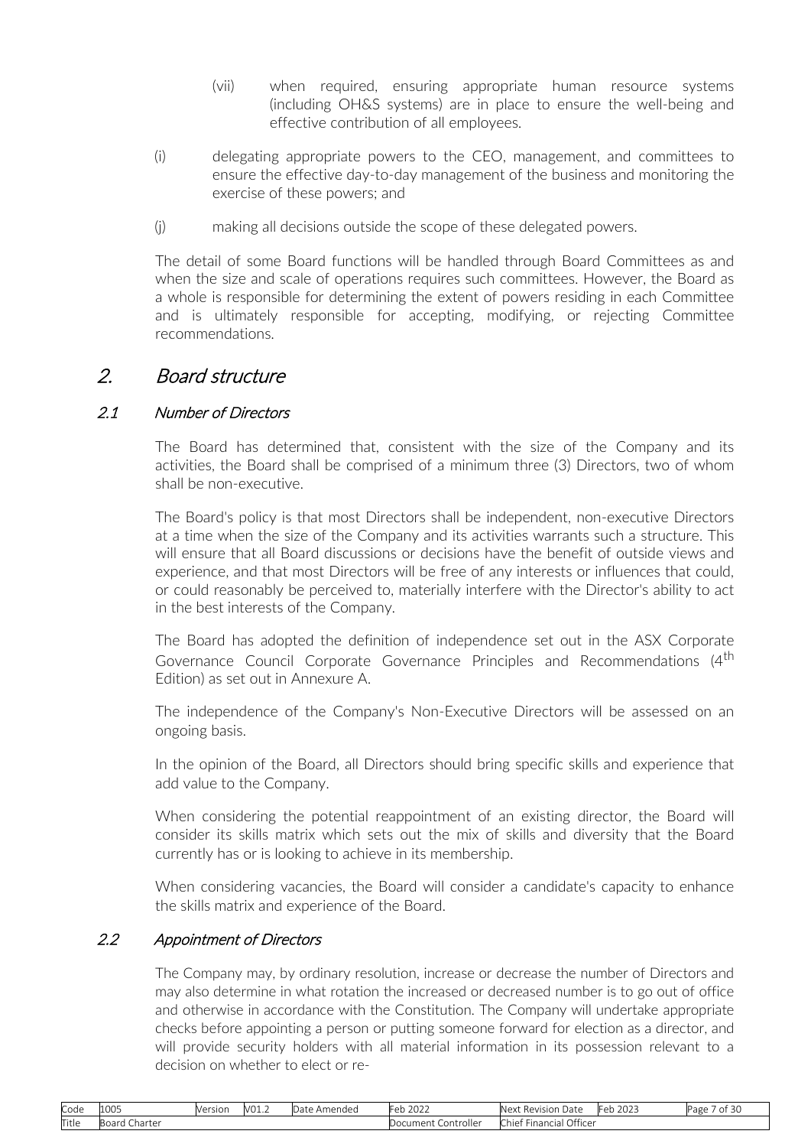- (vii) when required, ensuring appropriate human resource systems (including OH&S systems) are in place to ensure the well-being and effective contribution of all employees.
- <span id="page-6-0"></span>(i) delegating appropriate powers to the CEO, management, and committees to ensure the effective day-to-day management of the business and monitoring the exercise of these powers; and
- (j) making all decisions outside the scope of these delegated powers.

The detail of some Board functions will be handled through Board Committees as and when the size and scale of operations requires such committees. However, the Board as a whole is responsible for determining the extent of powers residing in each Committee and is ultimately responsible for accepting, modifying, or rejecting Committee recommendations.

## 2. Board structure

## 2.1 Number of Directors

The Board has determined that, consistent with the size of the Company and its activities, the Board shall be comprised of a minimum three (3) Directors, two of whom shall be non-executive.

The Board's policy is that most Directors shall be independent, non-executive Directors at a time when the size of the Company and its activities warrants such a structure. This will ensure that all Board discussions or decisions have the benefit of outside views and experience, and that most Directors will be free of any interests or influences that could, or could reasonably be perceived to, materially interfere with the Director's ability to act in the best interests of the Company.

The Board has adopted the definition of independence set out in the ASX Corporate Governance Council Corporate Governance Principles and Recommendations (4<sup>th</sup>) Edition) as set out in Annexure A.

The independence of the Company's Non-Executive Directors will be assessed on an ongoing basis.

In the opinion of the Board, all Directors should bring specific skills and experience that add value to the Company.

When considering the potential reappointment of an existing director, the Board will consider its skills matrix which sets out the mix of skills and diversity that the Board currently has or is looking to achieve in its membership.

When considering vacancies, the Board will consider a candidate's capacity to enhance the skills matrix and experience of the Board.

### 2.2 Appointment of Directors

The Company may, by ordinary resolution, increase or decrease the number of Directors and may also determine in what rotation the increased or decreased number is to go out of office and otherwise in accordance with the Constitution. The Company will undertake appropriate checks before appointing a person or putting someone forward for election as a director, and will provide security holders with all material information in its possession relevant to a decision on whether to elect or re-

| Code  | 1005                   | Version | V01.2 | Date<br>Amendeo | 2022<br>⊢≏ eh             | $\sim$<br>Revision<br>Date<br>Next | 2025<br>≞⊿⊾<br>w | $\sim$<br>ΩŤ<br>eפ∈ |
|-------|------------------------|---------|-------|-----------------|---------------------------|------------------------------------|------------------|---------------------|
| Title | --<br>Charter<br>Board |         |       |                 | . Controller<br>Document. | Officer<br>-inancial<br>Chief      |                  |                     |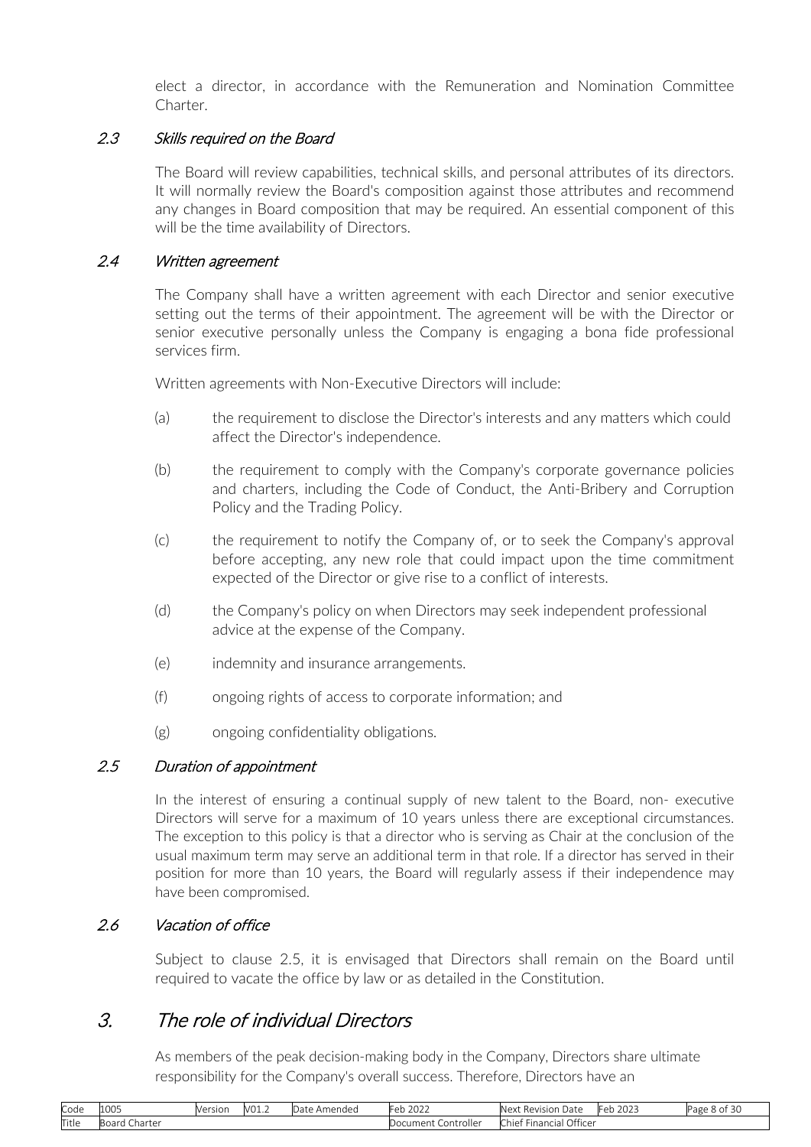elect a director, in accordance with the Remuneration and Nomination Committee Charter.

### <span id="page-7-0"></span>2.3 Skills required on the Board

The Board will review capabilities, technical skills, and personal attributes of its directors. It will normally review the Board's composition against those attributes and recommend any changes in Board composition that may be required. An essential component of this will be the time availability of Directors.

#### 2.4 Written agreement

The Company shall have a written agreement with each Director and senior executive setting out the terms of their appointment. The agreement will be with the Director or senior executive personally unless the Company is engaging a bona fide professional services firm.

Written agreements with Non-Executive Directors will include:

- (a) the requirement to disclose the Director's interests and any matters which could affect the Director's independence.
- (b) the requirement to comply with the Company's corporate governance policies and charters, including the Code of Conduct, the Anti-Bribery and Corruption Policy and the Trading Policy.
- (c) the requirement to notify the Company of, or to seek the Company's approval before accepting, any new role that could impact upon the time commitment expected of the Director or give rise to a conflict of interests.
- (d) the Company's policy on when Directors may seek independent professional advice at the expense of the Company.
- (e) indemnity and insurance arrangements.
- (f) ongoing rights of access to corporate information; and
- (g) ongoing confidentiality obligations.

#### 2.5 Duration of appointment

In the interest of ensuring a continual supply of new talent to the Board, non- executive Directors will serve for a maximum of 10 years unless there are exceptional circumstances. The exception to this policy is that a director who is serving as Chair at the conclusion of the usual maximum term may serve an additional term in that role. If a director has served in their position for more than 10 years, the Board will regularly assess if their independence may have been compromised.

#### 2.6 Vacation of office

Subject to clause [2.5, i](#page-7-0)t is envisaged that Directors shall remain on the Board until required to vacate the office by law or as detailed in the Constitution.

## 3. The role of individual Directors

As members of the peak decision-making body in the Company, Directors share ultimate responsibility for the Company's overall success. Therefore, Directors have an

| Code  | 1005                         | Version | 1/01<br>-VU⊥.∠ | : Amended<br>Date. | 222<br>n k<br>LUZZ,      | -<br>Next<br>Date<br>: Revision     | 2022<br>⊩≏⊳<br>-2023 | $\sim$<br>Page<br>: 8 OT 30 |
|-------|------------------------------|---------|----------------|--------------------|--------------------------|-------------------------------------|----------------------|-----------------------------|
| Title | --<br>. Charter<br>' oard ان |         |                |                    | Controller<br>Document I | Officer<br>-<br>- Chief Financial . |                      |                             |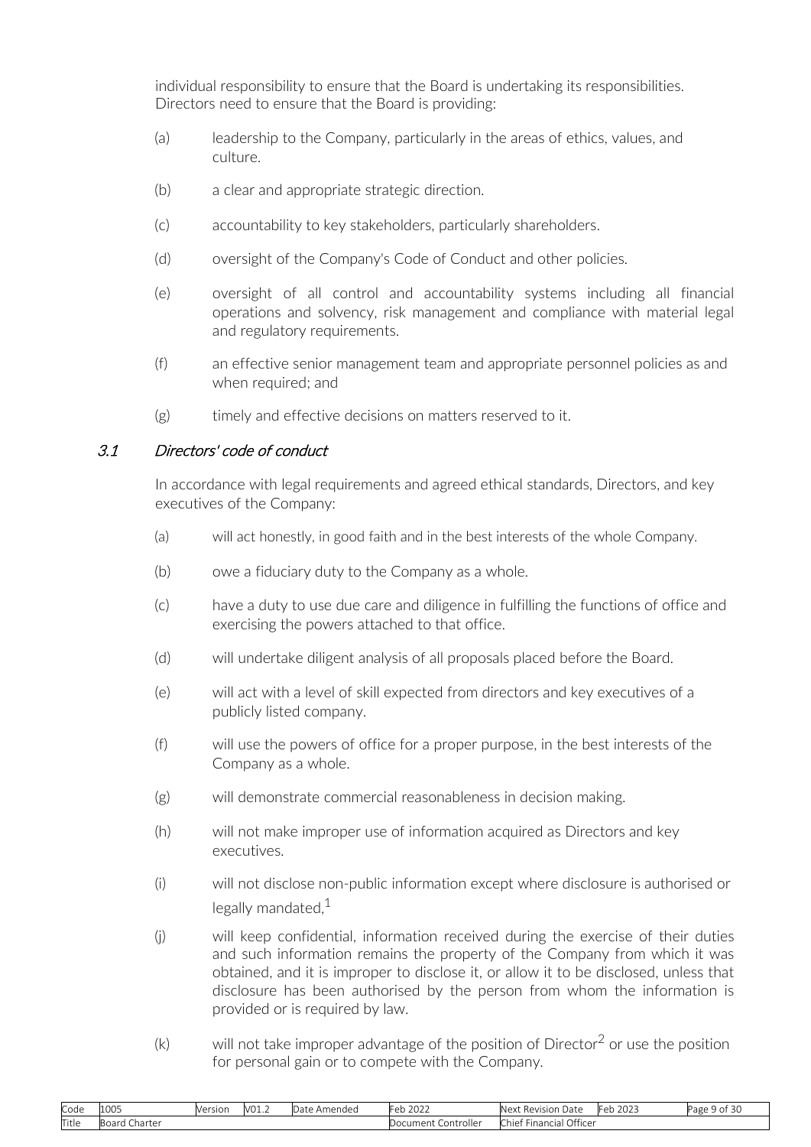<span id="page-8-0"></span>individual responsibility to ensure that the Board is undertaking its responsibilities. Directors need to ensure that the Board is providing:

- (a) leadership to the Company, particularly in the areas of ethics, values, and culture.
- (b) a clear and appropriate strategic direction.
- (c) accountability to key stakeholders, particularly shareholders.
- (d) oversight of the Company's Code of Conduct and other policies.
- (e) oversight of all control and accountability systems including all financial operations and solvency, risk management and compliance with material legal and regulatory requirements.
- (f) an effective senior management team and appropriate personnel policies as and when required; and
- (g) timely and effective decisions on matters reserved to it.

### 3.1 Directors' code of conduct

In accordance with legal requirements and agreed ethical standards, Directors, and key executives of the Company:

- (a) will act honestly, in good faith and in the best interests of the whole Company.
- (b) owe a fiduciary duty to the Company as a whole.
- (c) have a duty to use due care and diligence in fulfilling the functions of office and exercising the powers attached to that office.
- (d) will undertake diligent analysis of all proposals placed before the Board.
- (e) will act with a level of skill expected from directors and key executives of a publicly listed company.
- (f) will use the powers of office for a proper purpose, in the best interests of the Company as a whole.
- (g) will demonstrate commercial reasonableness in decision making.
- (h) will not make improper use of information acquired as Directors and key executives.
- (i) will not disclose non-public information except where disclosure is authorised or legally mandated. $1$
- (j) will keep confidential, information received during the exercise of their duties and such information remains the property of the Company from which it was obtained, and it is improper to disclose it, or allow it to be disclosed, unless that disclosure has been authorised by the person from whom the information is provided or is required by law.
- $(k)$  will not take improper advantage of the position of Director<sup>2</sup> or use the position for personal gain or to compete with the Company.

| Code  | 1005                         | Version | V01. | : Amended<br>Date | 200 <sup>2</sup><br>h - F<br>2022<br>CN. | ___<br>Next<br>: Revision Date    | 2023<br>+eb | .<br>Page 9 of 3u |
|-------|------------------------------|---------|------|-------------------|------------------------------------------|-----------------------------------|-------------|-------------------|
| Title | Charter<br>$\sim$<br>oudiu : |         |      |                   | . Controller<br>Document                 | <b>Financial Officer</b><br>Chief |             |                   |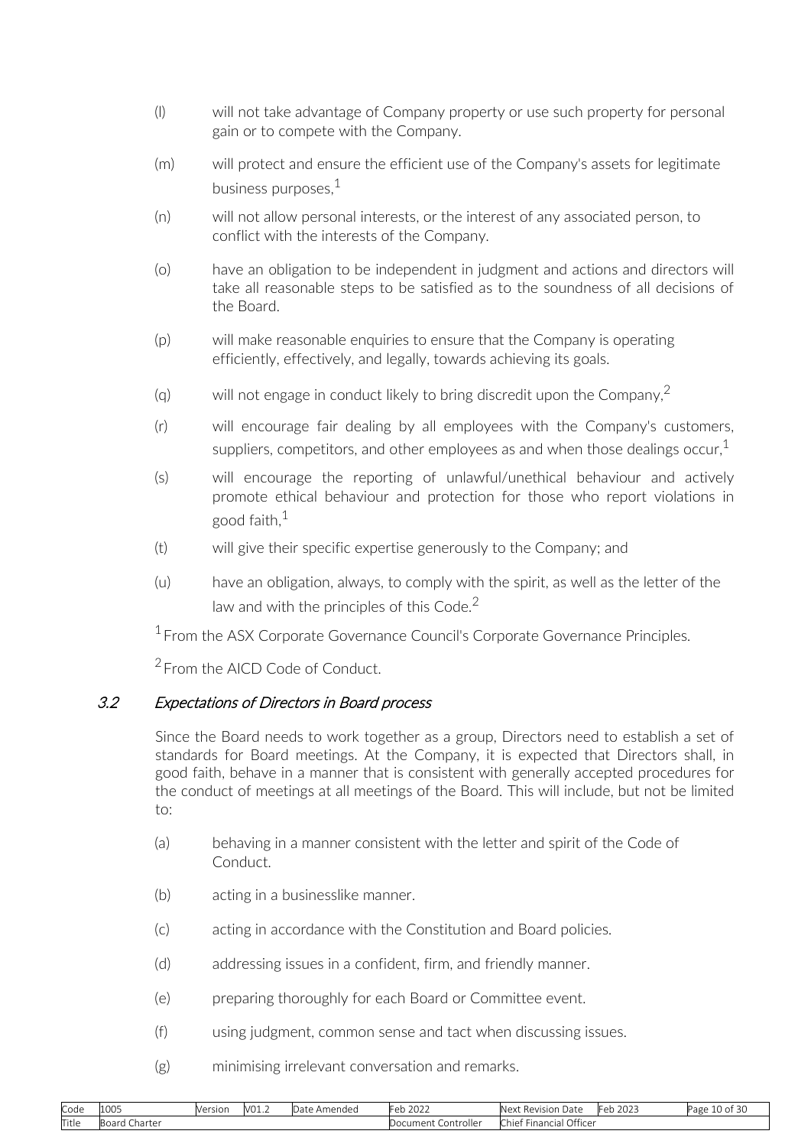- <span id="page-9-0"></span>(l) will not take advantage of Company property or use such property for personal gain or to compete with the Company.
- (m) will protect and ensure the efficient use of the Company's assets for legitimate business purposes  $1$
- (n) will not allow personal interests, or the interest of any associated person, to conflict with the interests of the Company.
- (o) have an obligation to be independent in judgment and actions and directors will take all reasonable steps to be satisfied as to the soundness of all decisions of the Board.
- (p) will make reasonable enquiries to ensure that the Company is operating efficiently, effectively, and legally, towards achieving its goals.
- (g) will not engage in conduct likely to bring discredit upon the Company,  $2$
- (r) will encourage fair dealing by all employees with the Company's customers, suppliers, competitors, and other employees as and when those dealings occur,  $1$
- (s) will encourage the reporting of unlawful/unethical behaviour and actively promote ethical behaviour and protection for those who report violations in good faith. $1$
- (t) will give their specific expertise generously to the Company; and
- (u) have an obligation, always, to comply with the spirit, as well as the letter of the law and with the principles of this Code. $<sup>2</sup>$ </sup>

<sup>1</sup> From the ASX Corporate Governance Council's Corporate Governance Principles.

<sup>2</sup> From the AICD Code of Conduct.

## 3.2 Expectations of Directors in Board process

Since the Board needs to work together as a group, Directors need to establish a set of standards for Board meetings. At the Company, it is expected that Directors shall, in good faith, behave in a manner that is consistent with generally accepted procedures for the conduct of meetings at all meetings of the Board. This will include, but not be limited to:

- (a) behaving in a manner consistent with the letter and spirit of the Code of Conduct.
- (b) acting in a businesslike manner.
- (c) acting in accordance with the Constitution and Board policies.
- (d) addressing issues in a confident, firm, and friendly manner.
- (e) preparing thoroughly for each Board or Committee event.
- (f) using judgment, common sense and tact when discussing issues.
- (g) minimising irrelevant conversation and remarks.

| Code  | 100F<br>ILUU5   | __<br>Version | V01.2 | Amended<br>$12 + 2$<br>i Jale | Feb 2022                 | Next<br>: Revision<br>Date                | 2022<br>-Feb.<br>™ ∠U∠J | $\sim$<br>$\sim$<br>Page<br>↑ 10 of 3u |
|-------|-----------------|---------------|-------|-------------------------------|--------------------------|-------------------------------------------|-------------------------|----------------------------------------|
| Title | Charter<br>buai |               |       |                               | . Controller<br>Document | Officer<br>Financial<br>Chie <sup>t</sup> |                         |                                        |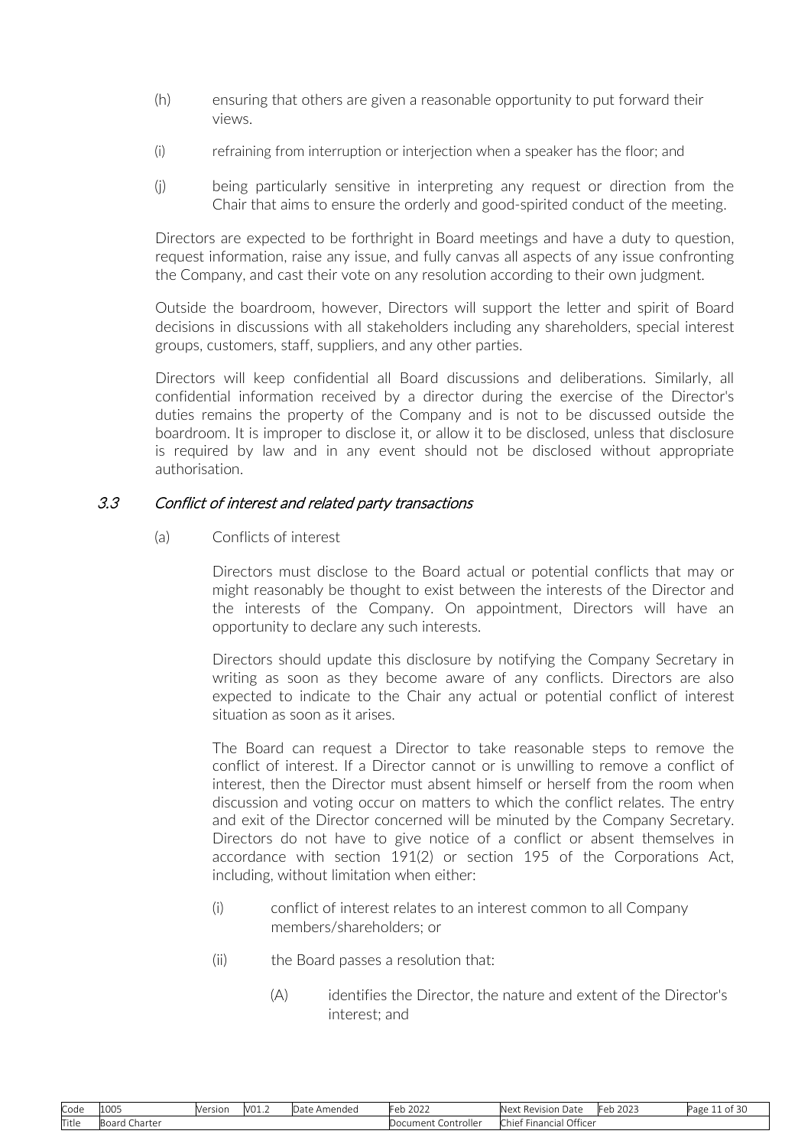- <span id="page-10-0"></span>(h) ensuring that others are given a reasonable opportunity to put forward their views.
- (i) refraining from interruption or interjection when a speaker has the floor; and
- (j) being particularly sensitive in interpreting any request or direction from the Chair that aims to ensure the orderly and good-spirited conduct of the meeting.

Directors are expected to be forthright in Board meetings and have a duty to question, request information, raise any issue, and fully canvas all aspects of any issue confronting the Company, and cast their vote on any resolution according to their own judgment.

Outside the boardroom, however, Directors will support the letter and spirit of Board decisions in discussions with all stakeholders including any shareholders, special interest groups, customers, staff, suppliers, and any other parties.

Directors will keep confidential all Board discussions and deliberations. Similarly, all confidential information received by a director during the exercise of the Director's duties remains the property of the Company and is not to be discussed outside the boardroom. It is improper to disclose it, or allow it to be disclosed, unless that disclosure is required by law and in any event should not be disclosed without appropriate authorisation.

#### 3.3 Conflict of interest and related party transactions

(a) Conflicts of interest

Directors must disclose to the Board actual or potential conflicts that may or might reasonably be thought to exist between the interests of the Director and the interests of the Company. On appointment, Directors will have an opportunity to declare any such interests.

Directors should update this disclosure by notifying the Company Secretary in writing as soon as they become aware of any conflicts. Directors are also expected to indicate to the Chair any actual or potential conflict of interest situation as soon as it arises.

The Board can request a Director to take reasonable steps to remove the conflict of interest. If a Director cannot or is unwilling to remove a conflict of interest, then the Director must absent himself or herself from the room when discussion and voting occur on matters to which the conflict relates. The entry and exit of the Director concerned will be minuted by the Company Secretary. Directors do not have to give notice of a conflict or absent themselves in accordance with section 191(2) or section 195 of the Corporations Act, including, without limitation when either:

- (i) conflict of interest relates to an interest common to all Company members/shareholders; or
- (ii) the Board passes a resolution that:
	- (A) identifies the Director, the nature and extent of the Director's interest; and

| Code  | 100 <sup>2</sup><br>LUUJ         | Version | V01.2 | Amended<br>Date. | $\sim$ $\sim$<br>.⊢eh<br>-2022 | -<br>Date<br>Nex <sup>+</sup><br>Revision                | $\sim$ $\sim$ $\sim$<br>-<br>ZUZJ<br>◡◡ | Page<br><b>O</b> 1<br>ب ت |
|-------|----------------------------------|---------|-------|------------------|--------------------------------|----------------------------------------------------------|-----------------------------------------|---------------------------|
| Title | . <b>.</b><br>Charter<br>DU di U |         |       |                  | ocument<br>Controller          | Office <sup>®</sup><br>$\sim$<br>* Financiai J<br>-chief |                                         |                           |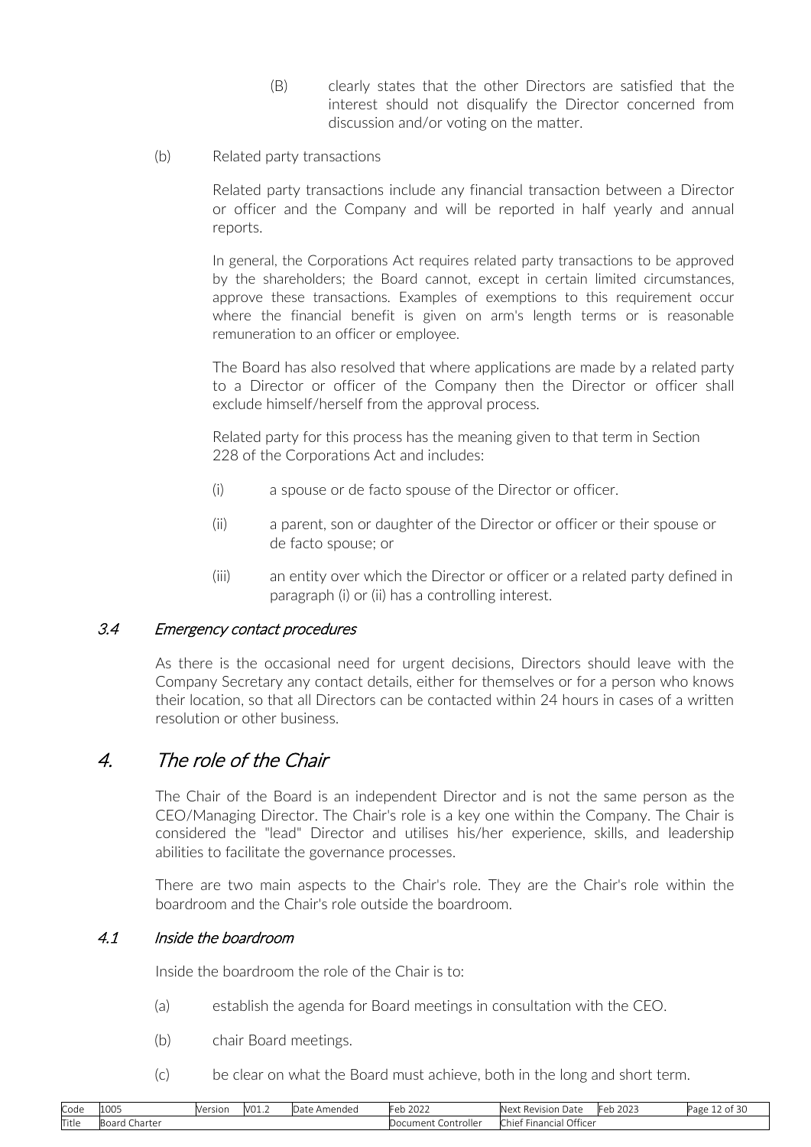- (B) clearly states that the other Directors are satisfied that the interest should not disqualify the Director concerned from discussion and/or voting on the matter.
- <span id="page-11-0"></span>(b) Related party transactions

Related party transactions include any financial transaction between a Director or officer and the Company and will be reported in half yearly and annual reports.

In general, the Corporations Act requires related party transactions to be approved by the shareholders; the Board cannot, except in certain limited circumstances, approve these transactions. Examples of exemptions to this requirement occur where the financial benefit is given on arm's length terms or is reasonable remuneration to an officer or employee.

The Board has also resolved that where applications are made by a related party to a Director or officer of the Company then the Director or officer shall exclude himself/herself from the approval process.

Related party for this process has the meaning given to that term in Section 228 of the Corporations Act and includes:

- (i) a spouse or de facto spouse of the Director or officer.
- (ii) a parent, son or daughter of the Director or officer or their spouse or de facto spouse; or
- (iii) an entity over which the Director or officer or a related party defined in paragraph [\(i\) o](#page-11-0)r [\(ii\) h](#page-11-0)as a controlling interest.

### 3.4 Emergency contact procedures

As there is the occasional need for urgent decisions, Directors should leave with the Company Secretary any contact details, either for themselves or for a person who knows their location, so that all Directors can be contacted within 24 hours in cases of a written resolution or other business.

## 4. The role of the Chair

The Chair of the Board is an independent Director and is not the same person as the CEO/Managing Director. The Chair's role is a key one within the Company. The Chair is considered the "lead" Director and utilises his/her experience, skills, and leadership abilities to facilitate the governance processes.

There are two main aspects to the Chair's role. They are the Chair's role within the boardroom and the Chair's role outside the boardroom.

### 4.1 Inside the boardroom

Inside the boardroom the role of the Chair is to:

- (a) establish the agenda for Board meetings in consultation with the CEO.
- (b) chair Board meetings.
- (c) be clear on what the Board must achieve, both in the long and short term.

| Code  | 1005               | Version | V01.2 | Date<br>Amended | Feb 2022                   | Next Revision Date                       | 2023<br>Feb | . .<br>. ⊥2 of 30<br>Page |
|-------|--------------------|---------|-------|-----------------|----------------------------|------------------------------------------|-------------|---------------------------|
| Title | . Charter<br>Board |         |       |                 | . Controller<br>Document ( | Financial Officer<br>$\sim$ $-$<br>Chief |             |                           |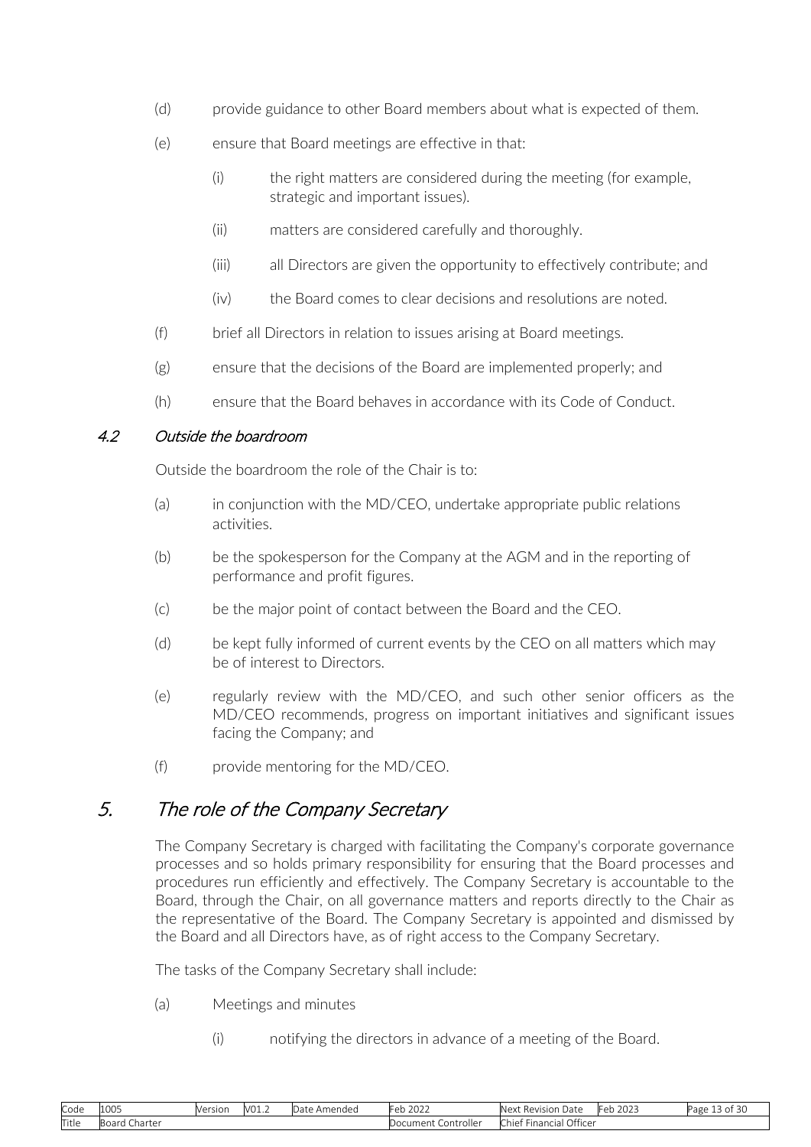- <span id="page-12-0"></span>(d) provide guidance to other Board members about what is expected of them.
- (e) ensure that Board meetings are effective in that:
	- (i) the right matters are considered during the meeting (for example, strategic and important issues).
	- (ii) matters are considered carefully and thoroughly.
	- (iii) all Directors are given the opportunity to effectively contribute; and
	- (iv) the Board comes to clear decisions and resolutions are noted.
- (f) brief all Directors in relation to issues arising at Board meetings.
- (g) ensure that the decisions of the Board are implemented properly; and
- (h) ensure that the Board behaves in accordance with its Code of Conduct.

### 4.2 Outside the boardroom

Outside the boardroom the role of the Chair is to:

- (a) in conjunction with the MD/CEO, undertake appropriate public relations activities.
- (b) be the spokesperson for the Company at the AGM and in the reporting of performance and profit figures.
- (c) be the major point of contact between the Board and the CEO.
- (d) be kept fully informed of current events by the CEO on all matters which may be of interest to Directors.
- (e) regularly review with the MD/CEO, and such other senior officers as the MD/CEO recommends, progress on important initiatives and significant issues facing the Company; and
- (f) provide mentoring for the MD/CEO.

## 5. The role of the Company Secretary

The Company Secretary is charged with facilitating the Company's corporate governance processes and so holds primary responsibility for ensuring that the Board processes and procedures run efficiently and effectively. The Company Secretary is accountable to the Board, through the Chair, on all governance matters and reports directly to the Chair as the representative of the Board. The Company Secretary is appointed and dismissed by the Board and all Directors have, as of right access to the Company Secretary.

The tasks of the Company Secretary shall include:

- (a) Meetings and minutes
	- (i) notifying the directors in advance of a meeting of the Board.

| Code  | 1005                    | Version | V01.2 | Amended<br>Jdlt | $\sim$ $\sim$ $\sim$<br>≞≏≏<br>ZUZZ<br>- N | $\sim$<br>Next<br>Revision L<br>Date | $\sim$ $\sim$ $\sim$<br>⊩eb 202∴ | $\sim$<br>Jage<br>טכוט י |
|-------|-------------------------|---------|-------|-----------------|--------------------------------------------|--------------------------------------|----------------------------------|--------------------------|
| Title | .<br>Charter<br>DU di U |         |       |                 | Controller<br>Document<br>w                | Officer<br>* Financial ·<br>Chief    |                                  |                          |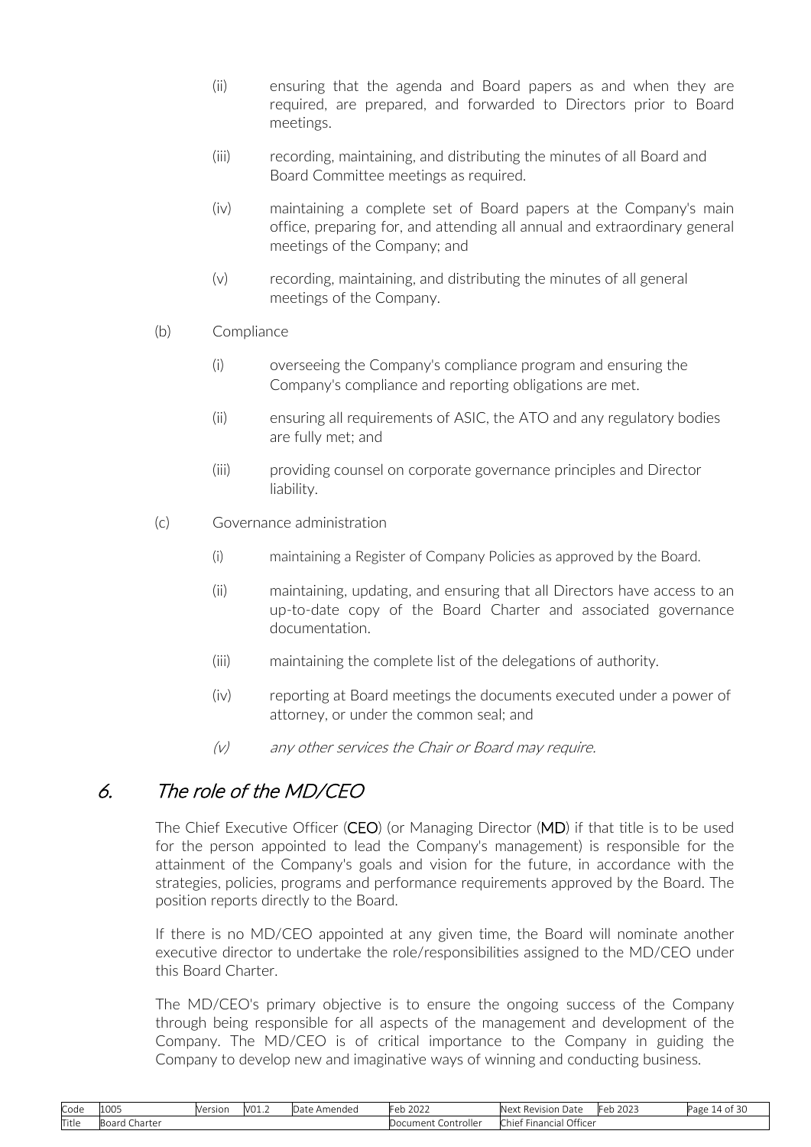- <span id="page-13-0"></span>(ii) ensuring that the agenda and Board papers as and when they are required, are prepared, and forwarded to Directors prior to Board meetings.
- (iii) recording, maintaining, and distributing the minutes of all Board and Board Committee meetings as required.
- (iv) maintaining a complete set of Board papers at the Company's main office, preparing for, and attending all annual and extraordinary general meetings of the Company; and
- (v) recording, maintaining, and distributing the minutes of all general meetings of the Company.
- (b) Compliance
	- (i) overseeing the Company's compliance program and ensuring the Company's compliance and reporting obligations are met.
	- (ii) ensuring all requirements of ASIC, the ATO and any regulatory bodies are fully met; and
	- (iii) providing counsel on corporate governance principles and Director liability.
- (c) Governance administration
	- (i) maintaining a Register of Company Policies as approved by the Board.
	- (ii) maintaining, updating, and ensuring that all Directors have access to an up-to-date copy of the Board Charter and associated governance documentation.
	- (iii) maintaining the complete list of the delegations of authority.
	- (iv) reporting at Board meetings the documents executed under a power of attorney, or under the common seal; and
	- (v) any other services the Chair or Board may require.

# 6. The role of the MD/CEO

The Chief Executive Officer (CEO) (or Managing Director (MD) if that title is to be used for the person appointed to lead the Company's management) is responsible for the attainment of the Company's goals and vision for the future, in accordance with the strategies, policies, programs and performance requirements approved by the Board. The position reports directly to the Board.

If there is no MD/CEO appointed at any given time, the Board will nominate another executive director to undertake the role/responsibilities assigned to the MD/CEO under this Board Charter.

The MD/CEO's primary objective is to ensure the ongoing success of the Company through being responsible for all aspects of the management and development of the Company. The MD/CEO is of critical importance to the Company in guiding the Company to develop new and imaginative ways of winning and conducting business.

| Code  | 1005                | Version | V01.2 | Amended<br>Date. | $\mathbf{a}$<br>- Ah<br>2022<br>U M | Date<br>- "Ne⊻*<br>Revision<br>प⊏∧। | $\sim$ $\sim$ $\sim$ $\sim$<br>⊩≏Ի<br>2023<br><b>.</b> | $\sim$<br>Page<br>30<br>$\Delta$ |
|-------|---------------------|---------|-------|------------------|-------------------------------------|-------------------------------------|--------------------------------------------------------|----------------------------------|
| Title | Board C.<br>Ihartei |         |       |                  | <br>Document<br>Controller          | Officer<br>Financial<br>Chief       |                                                        |                                  |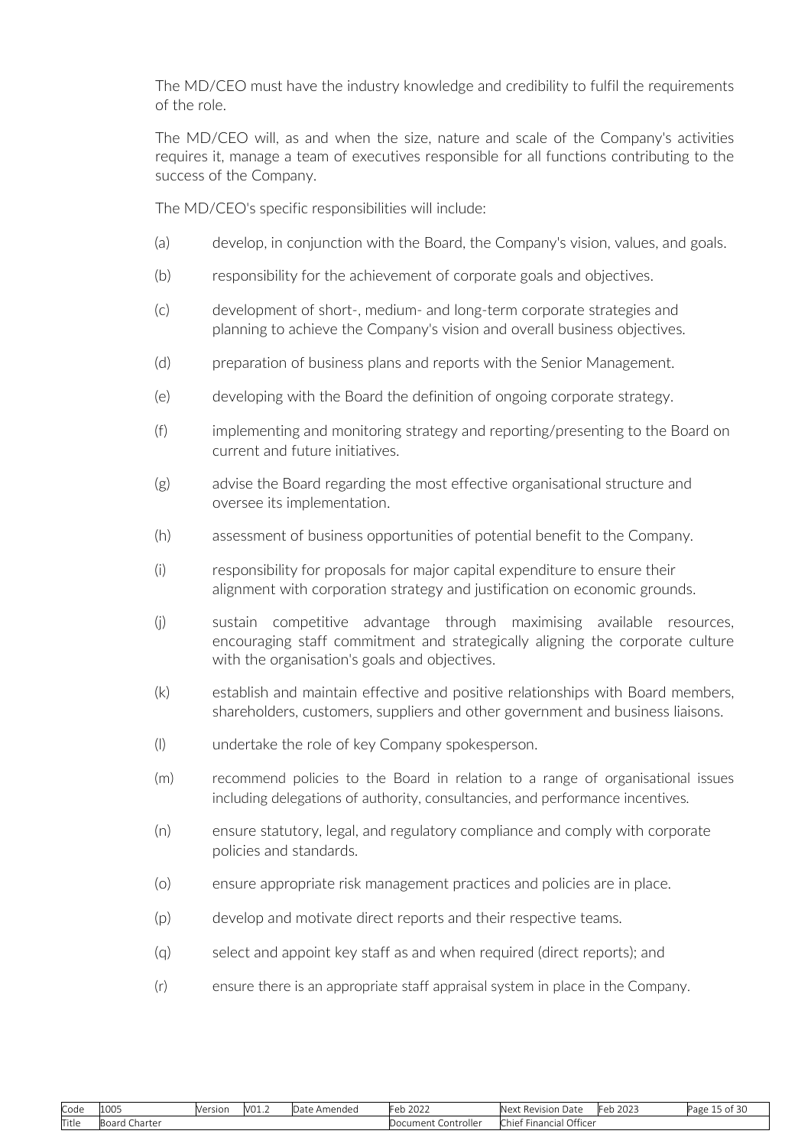The MD/CEO must have the industry knowledge and credibility to fulfil the requirements of the role.

The MD/CEO will, as and when the size, nature and scale of the Company's activities requires it, manage a team of executives responsible for all functions contributing to the success of the Company.

The MD/CEO's specific responsibilities will include:

- (a) develop, in conjunction with the Board, the Company's vision, values, and goals.
- (b) responsibility for the achievement of corporate goals and objectives.
- (c) development of short-, medium- and long-term corporate strategies and planning to achieve the Company's vision and overall business objectives.
- (d) preparation of business plans and reports with the Senior Management.
- (e) developing with the Board the definition of ongoing corporate strategy.
- (f) implementing and monitoring strategy and reporting/presenting to the Board on current and future initiatives.
- (g) advise the Board regarding the most effective organisational structure and oversee its implementation.
- (h) assessment of business opportunities of potential benefit to the Company.
- (i) responsibility for proposals for major capital expenditure to ensure their alignment with corporation strategy and justification on economic grounds.
- (j) sustain competitive advantage through maximising available resources, encouraging staff commitment and strategically aligning the corporate culture with the organisation's goals and objectives.
- (k) establish and maintain effective and positive relationships with Board members, shareholders, customers, suppliers and other government and business liaisons.
- (l) undertake the role of key Company spokesperson.
- (m) recommend policies to the Board in relation to a range of organisational issues including delegations of authority, consultancies, and performance incentives.
- (n) ensure statutory, legal, and regulatory compliance and comply with corporate policies and standards.
- (o) ensure appropriate risk management practices and policies are in place.
- (p) develop and motivate direct reports and their respective teams.
- (q) select and appoint key staff as and when required (direct reports); and
- (r) ensure there is an appropriate staff appraisal system in place in the Company.

| Code  | 1005                                | <b>Version</b> | V01.2 | Amended<br>$3 - +$<br>i Jale | 202<br>⊩eb<br>ZUZZ            | : Revision Date<br>Next                   | ררחר<br>Կeb<br>ZUZJ | - 1<br>Page<br>$OT-50$ |
|-------|-------------------------------------|----------------|-------|------------------------------|-------------------------------|-------------------------------------------|---------------------|------------------------|
| Title | . Charter<br>$H$ $\cap$ $H$<br>DUdi |                |       |                              | -<br>. Controller<br>Document | Officer<br>Financial<br>Chie <sup>+</sup> |                     |                        |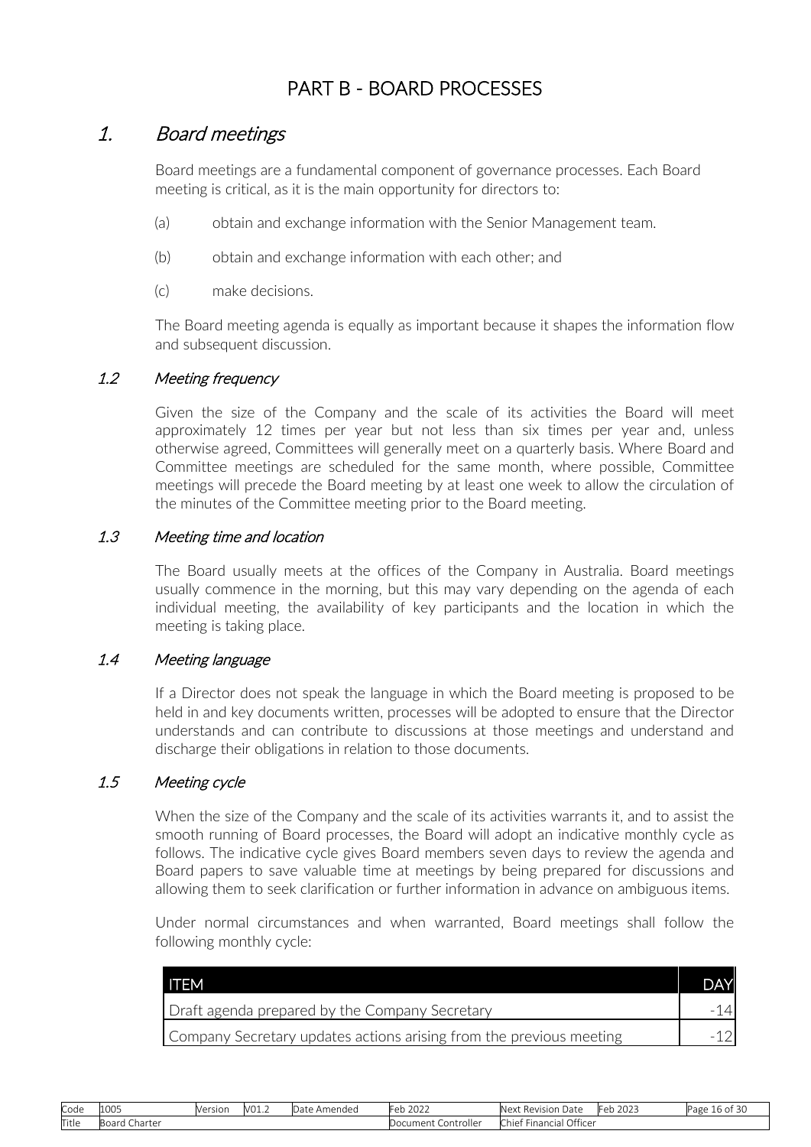# PART B - BOARD PROCESSES

## <span id="page-15-0"></span>1. Board meetings

Board meetings are a fundamental component of governance processes. Each Board meeting is critical, as it is the main opportunity for directors to:

- (a) obtain and exchange information with the Senior Management team.
- (b) obtain and exchange information with each other; and
- (c) make decisions.

The Board meeting agenda is equally as important because it shapes the information flow and subsequent discussion.

### 1.2 Meeting frequency

Given the size of the Company and the scale of its activities the Board will meet approximately 12 times per year but not less than six times per year and, unless otherwise agreed, Committees will generally meet on a quarterly basis. Where Board and Committee meetings are scheduled for the same month, where possible, Committee meetings will precede the Board meeting by at least one week to allow the circulation of the minutes of the Committee meeting prior to the Board meeting.

#### 1.3 Meeting time and location

The Board usually meets at the offices of the Company in Australia. Board meetings usually commence in the morning, but this may vary depending on the agenda of each individual meeting, the availability of key participants and the location in which the meeting is taking place.

#### 1.4 Meeting language

If a Director does not speak the language in which the Board meeting is proposed to be held in and key documents written, processes will be adopted to ensure that the Director understands and can contribute to discussions at those meetings and understand and discharge their obligations in relation to those documents.

#### 1.5 Meeting cycle

When the size of the Company and the scale of its activities warrants it, and to assist the smooth running of Board processes, the Board will adopt an indicative monthly cycle as follows. The indicative cycle gives Board members seven days to review the agenda and Board papers to save valuable time at meetings by being prepared for discussions and allowing them to seek clarification or further information in advance on ambiguous items.

Under normal circumstances and when warranted, Board meetings shall follow the following monthly cycle:

| TTEM!                                                               | <b>DAY</b> |
|---------------------------------------------------------------------|------------|
| Draft agenda prepared by the Company Secretary                      |            |
| Company Secretary updates actions arising from the previous meeting |            |

| Code  | 1005             | Version | V01.2 | Amended<br>Jate | Feb<br>$\sim$ $\sim$ $\sim$<br>ZUZZ | Nex.<br>-<br>Date<br>Revision             | 2022<br>طط⊫<br>1 ZUZ : | --<br>Page<br>16 OL 3U |
|-------|------------------|---------|-------|-----------------|-------------------------------------|-------------------------------------------|------------------------|------------------------|
| Title | Charter<br>Board |         |       |                 | . Controller<br>Document '          | Officer<br>$\sim$<br>* Financial<br>Chief |                        |                        |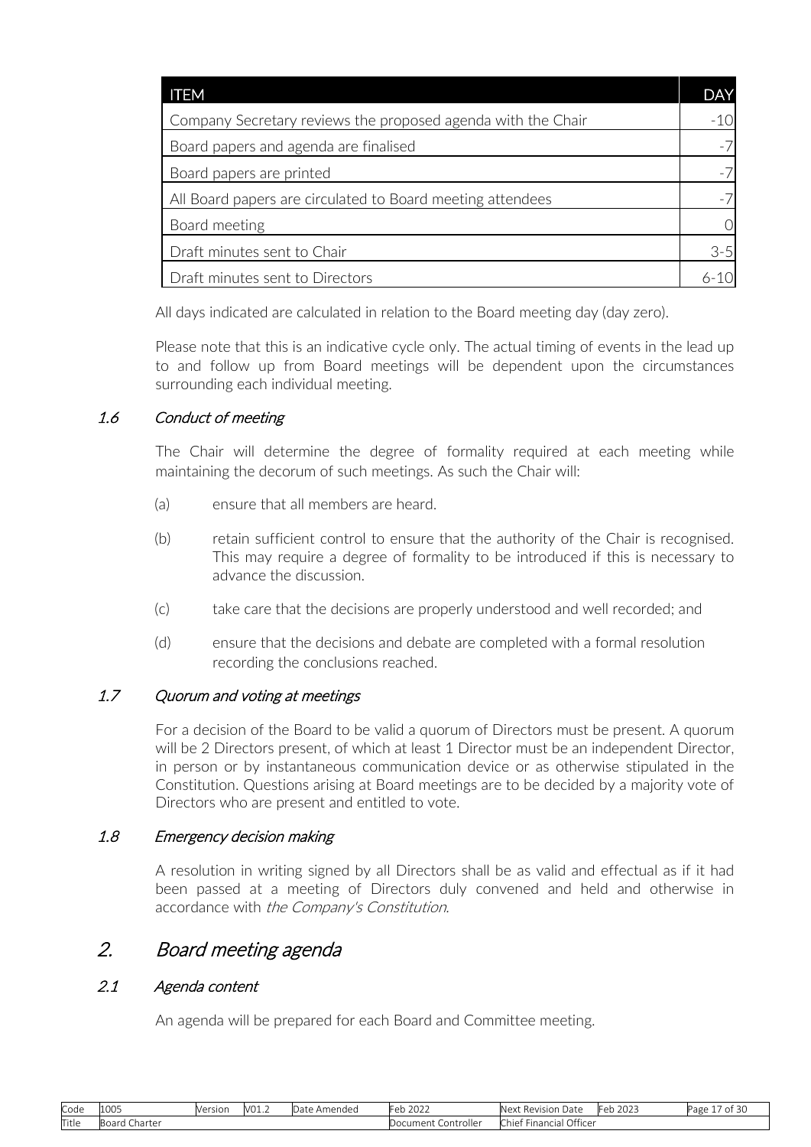<span id="page-16-0"></span>

| <b>ITEM</b>                                                  | <b>DAY</b> |
|--------------------------------------------------------------|------------|
| Company Secretary reviews the proposed agenda with the Chair |            |
| Board papers and agenda are finalised                        |            |
| Board papers are printed                                     |            |
| All Board papers are circulated to Board meeting attendees   |            |
| Board meeting                                                |            |
| Draft minutes sent to Chair                                  | $3 - 5$    |
| Draft minutes sent to Directors                              |            |

All days indicated are calculated in relation to the Board meeting day (day zero).

Please note that this is an indicative cycle only. The actual timing of events in the lead up to and follow up from Board meetings will be dependent upon the circumstances surrounding each individual meeting.

## 1.6 Conduct of meeting

The Chair will determine the degree of formality required at each meeting while maintaining the decorum of such meetings. As such the Chair will:

- (a) ensure that all members are heard.
- (b) retain sufficient control to ensure that the authority of the Chair is recognised. This may require a degree of formality to be introduced if this is necessary to advance the discussion.
- (c) take care that the decisions are properly understood and well recorded; and
- (d) ensure that the decisions and debate are completed with a formal resolution recording the conclusions reached.

### 1.7 Quorum and voting at meetings

For a decision of the Board to be valid a quorum of Directors must be present. A quorum will be 2 Directors present, of which at least 1 Director must be an independent Director, in person or by instantaneous communication device or as otherwise stipulated in the Constitution. Questions arising at Board meetings are to be decided by a majority vote of Directors who are present and entitled to vote.

### 1.8 Emergency decision making

A resolution in writing signed by all Directors shall be as valid and effectual as if it had been passed at a meeting of Directors duly convened and held and otherwise in accordance with the Company's Constitution.

## 2. Board meeting agenda

### 2.1 Agenda content

An agenda will be prepared for each Board and Committee meeting.

| Code  | 1000<br>LUUJ     | Version | V01.7 | .)ate<br>Amended | $\sim$ $\sim$ $\sim$<br>.or<br>2022<br>◡◡        | Next <b>h</b><br>-<br>Date<br>Revision                    | $\sim$ $\sim$ $\sim$<br>-<br>ZUZJ<br>◡◡ | --<br>Page<br>ں ر |
|-------|------------------|---------|-------|------------------|--------------------------------------------------|-----------------------------------------------------------|-----------------------------------------|-------------------|
| Title | :harter<br>Board |         |       |                  | controller<br>ocument<br>$\sim$ $\sim$<br>$\sim$ | Officer<br>-<br>$\sim$<br>…∟Financi≘`<br>…hief i<br>. C 1 |                                         |                   |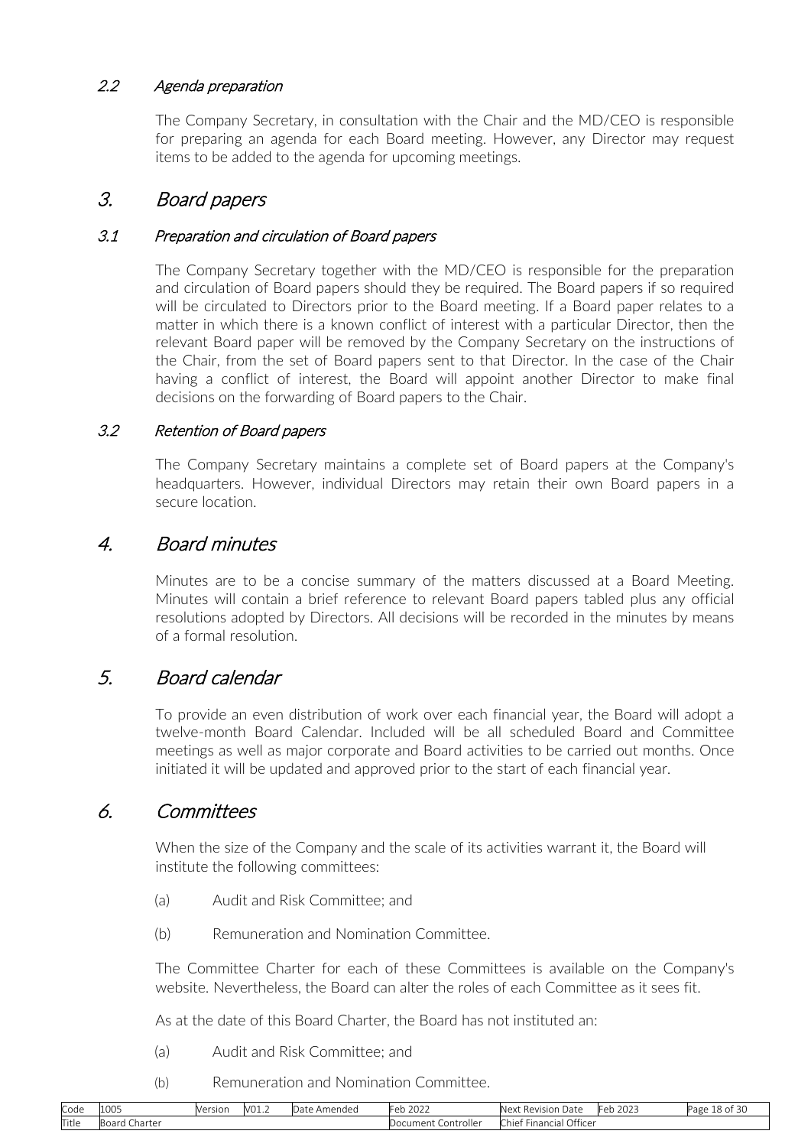## <span id="page-17-0"></span>2.2 Agenda preparation

The Company Secretary, in consultation with the Chair and the MD/CEO is responsible for preparing an agenda for each Board meeting. However, any Director may request items to be added to the agenda for upcoming meetings.

## 3. Board papers

## 3.1 Preparation and circulation of Board papers

The Company Secretary together with the MD/CEO is responsible for the preparation and circulation of Board papers should they be required. The Board papers if so required will be circulated to Directors prior to the Board meeting. If a Board paper relates to a matter in which there is a known conflict of interest with a particular Director, then the relevant Board paper will be removed by the Company Secretary on the instructions of the Chair, from the set of Board papers sent to that Director. In the case of the Chair having a conflict of interest, the Board will appoint another Director to make final decisions on the forwarding of Board papers to the Chair.

## 3.2 Retention of Board papers

The Company Secretary maintains a complete set of Board papers at the Company's headquarters. However, individual Directors may retain their own Board papers in a secure location.

## 4. Board minutes

Minutes are to be a concise summary of the matters discussed at a Board Meeting. Minutes will contain a brief reference to relevant Board papers tabled plus any official resolutions adopted by Directors. All decisions will be recorded in the minutes by means of a formal resolution.

## 5. Board calendar

To provide an even distribution of work over each financial year, the Board will adopt a twelve-month Board Calendar. Included will be all scheduled Board and Committee meetings as well as major corporate and Board activities to be carried out months. Once initiated it will be updated and approved prior to the start of each financial year.

## 6. Committees

When the size of the Company and the scale of its activities warrant it, the Board will institute the following committees:

- (a) Audit and Risk Committee; and
- (b) Remuneration and Nomination Committee.

The Committee Charter for each of these Committees is available on the Company's website. Nevertheless, the Board can alter the roles of each Committee as it sees fit.

As at the date of this Board Charter, the Board has not instituted an:

- (a) Audit and Risk Committee; and
- (b) Remuneration and Nomination Committee.

| Code  | 1005             | Version | V01.2 | Amended<br>$3a + a$<br>Jdle | Feb 2022               | Next<br>Date<br>: Revision          | 2022<br>Feb.<br>`ZUZJ | $\sim$<br>$\sim$<br>18 of 30<br>Page |
|-------|------------------|---------|-------|-----------------------------|------------------------|-------------------------------------|-----------------------|--------------------------------------|
| Title | Charter<br>buaru |         |       |                             | Controller<br>Document | Officer<br>Financial<br><b>Chie</b> |                       |                                      |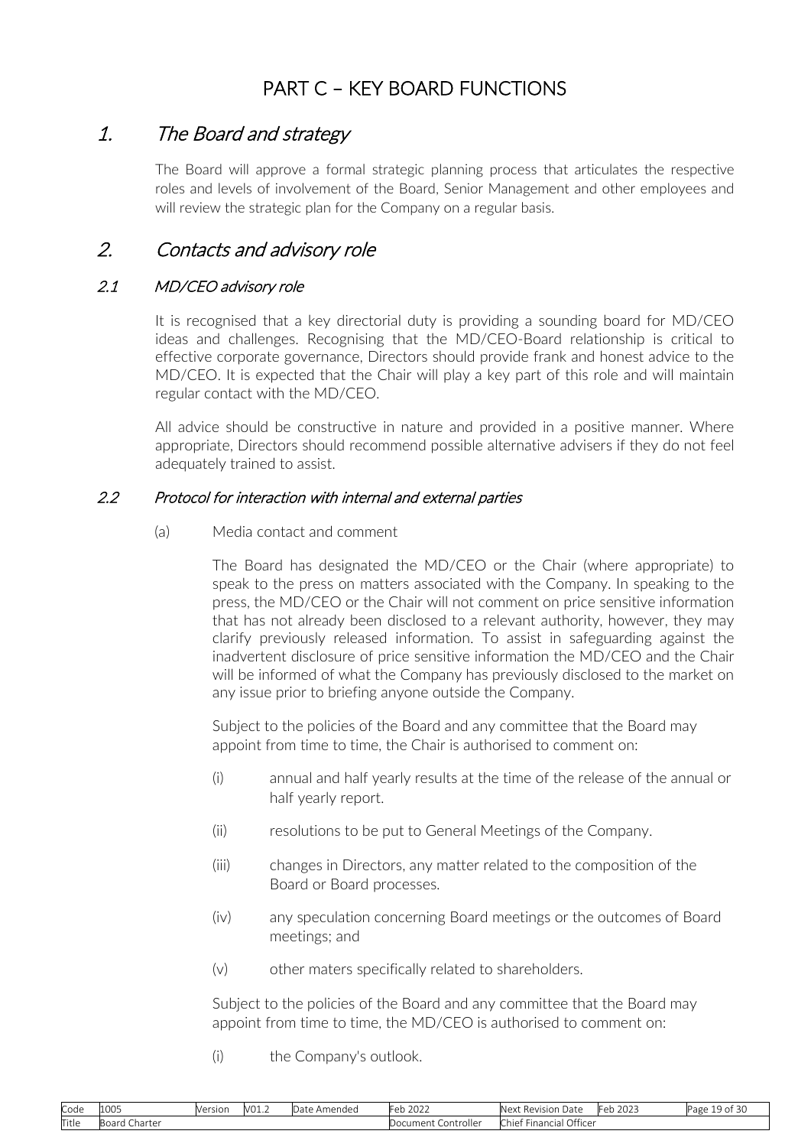# PART C – KEY BOARD FUNCTIONS

## <span id="page-18-0"></span>1. The Board and strategy

The Board will approve a formal strategic planning process that articulates the respective roles and levels of involvement of the Board, Senior Management and other employees and will review the strategic plan for the Company on a regular basis.

# 2. Contacts and advisory role

## 2.1 MD/CEO advisory role

It is recognised that a key directorial duty is providing a sounding board for MD/CEO ideas and challenges. Recognising that the MD/CEO-Board relationship is critical to effective corporate governance, Directors should provide frank and honest advice to the MD/CEO. It is expected that the Chair will play a key part of this role and will maintain regular contact with the MD/CEO.

All advice should be constructive in nature and provided in a positive manner. Where appropriate, Directors should recommend possible alternative advisers if they do not feel adequately trained to assist.

## 2.2 Protocol for interaction with internal and external parties

(a) Media contact and comment

The Board has designated the MD/CEO or the Chair (where appropriate) to speak to the press on matters associated with the Company. In speaking to the press, the MD/CEO or the Chair will not comment on price sensitive information that has not already been disclosed to a relevant authority, however, they may clarify previously released information. To assist in safeguarding against the inadvertent disclosure of price sensitive information the MD/CEO and the Chair will be informed of what the Company has previously disclosed to the market on any issue prior to briefing anyone outside the Company.

Subject to the policies of the Board and any committee that the Board may appoint from time to time, the Chair is authorised to comment on:

- (i) annual and half yearly results at the time of the release of the annual or half yearly report.
- (ii) resolutions to be put to General Meetings of the Company.
- (iii) changes in Directors, any matter related to the composition of the Board or Board processes.
- (iv) any speculation concerning Board meetings or the outcomes of Board meetings; and
- (v) other maters specifically related to shareholders.

Subject to the policies of the Board and any committee that the Board may appoint from time to time, the MD/CEO is authorised to comment on:

(i) the Company's outlook.

| Code  | 1005             | Version | V01.2 | Amended<br>Jate | Feb<br>$\sim$ $\sim$ $\sim$<br>ZUZZ | <b>Next</b><br>-<br>Date<br>Revision      | 2022<br>طط⊫<br>I ZUZJ | --<br>$\sim$<br>Page<br>$\sim$ $\sim$ 01 $\sim$ |
|-------|------------------|---------|-------|-----------------|-------------------------------------|-------------------------------------------|-----------------------|-------------------------------------------------|
| Title | Charter<br>Board |         |       |                 | . Controller<br>Document '          | Officer<br>$\sim$<br>* Financial<br>Chief |                       |                                                 |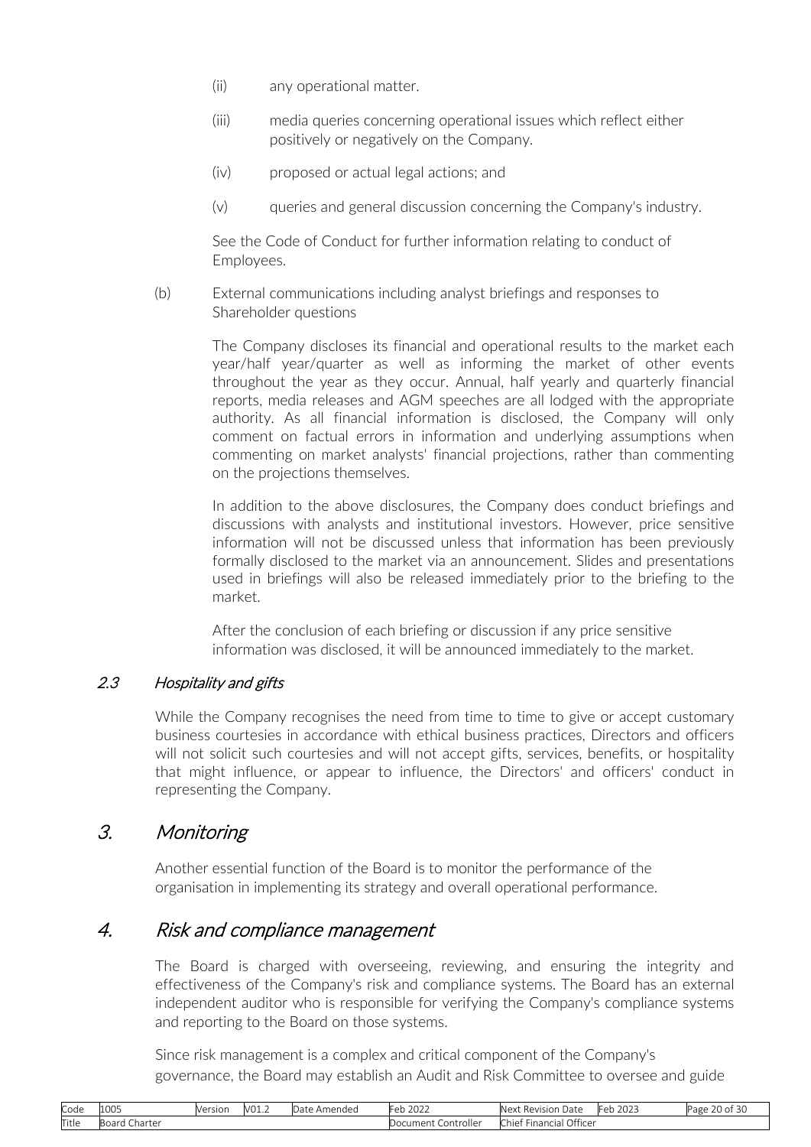- <span id="page-19-0"></span>(ii) any operational matter.
- (iii) media queries concerning operational issues which reflect either positively or negatively on the Company.
- (iv) proposed or actual legal actions; and
- (v) queries and general discussion concerning the Company's industry.

See the Code of Conduct for further information relating to conduct of Employees.

(b) External communications including analyst briefings and responses to Shareholder questions

> The Company discloses its financial and operational results to the market each year/half year/quarter as well as informing the market of other events throughout the year as they occur. Annual, half yearly and quarterly financial reports, media releases and AGM speeches are all lodged with the appropriate authority. As all financial information is disclosed, the Company will only comment on factual errors in information and underlying assumptions when commenting on market analysts' financial projections, rather than commenting on the projections themselves.

> In addition to the above disclosures, the Company does conduct briefings and discussions with analysts and institutional investors. However, price sensitive information will not be discussed unless that information has been previously formally disclosed to the market via an announcement. Slides and presentations used in briefings will also be released immediately prior to the briefing to the market.

After the conclusion of each briefing or discussion if any price sensitive information was disclosed, it will be announced immediately to the market.

## 2.3 Hospitality and gifts

While the Company recognises the need from time to time to give or accept customary business courtesies in accordance with ethical business practices, Directors and officers will not solicit such courtesies and will not accept gifts, services, benefits, or hospitality that might influence, or appear to influence, the Directors' and officers' conduct in representing the Company.

## 3. Monitoring

Another essential function of the Board is to monitor the performance of the organisation in implementing its strategy and overall operational performance.

## 4. Risk and compliance management

The Board is charged with overseeing, reviewing, and ensuring the integrity and effectiveness of the Company's risk and compliance systems. The Board has an external independent auditor who is responsible for verifying the Company's compliance systems and reporting to the Board on those systems.

Since risk management is a complex and critical component of the Company's governance, the Board may establish an Audit and Risk Committee to oversee and guide

| Code  | 1005          | Version | V01.2 | Amended<br>Jate | $\sim$<br>12022<br>Feb   | Next Revision<br>Date                 | . .<br>2022<br>Feb<br>2023 | $\sim$ $\sim$<br><sup>o</sup> age<br>20 OF 30 |
|-------|---------------|---------|-------|-----------------|--------------------------|---------------------------------------|----------------------------|-----------------------------------------------|
| Title | Board Charter |         |       |                 | Document<br>. Controller | Office<br>Financial I<br><b>Chief</b> |                            |                                               |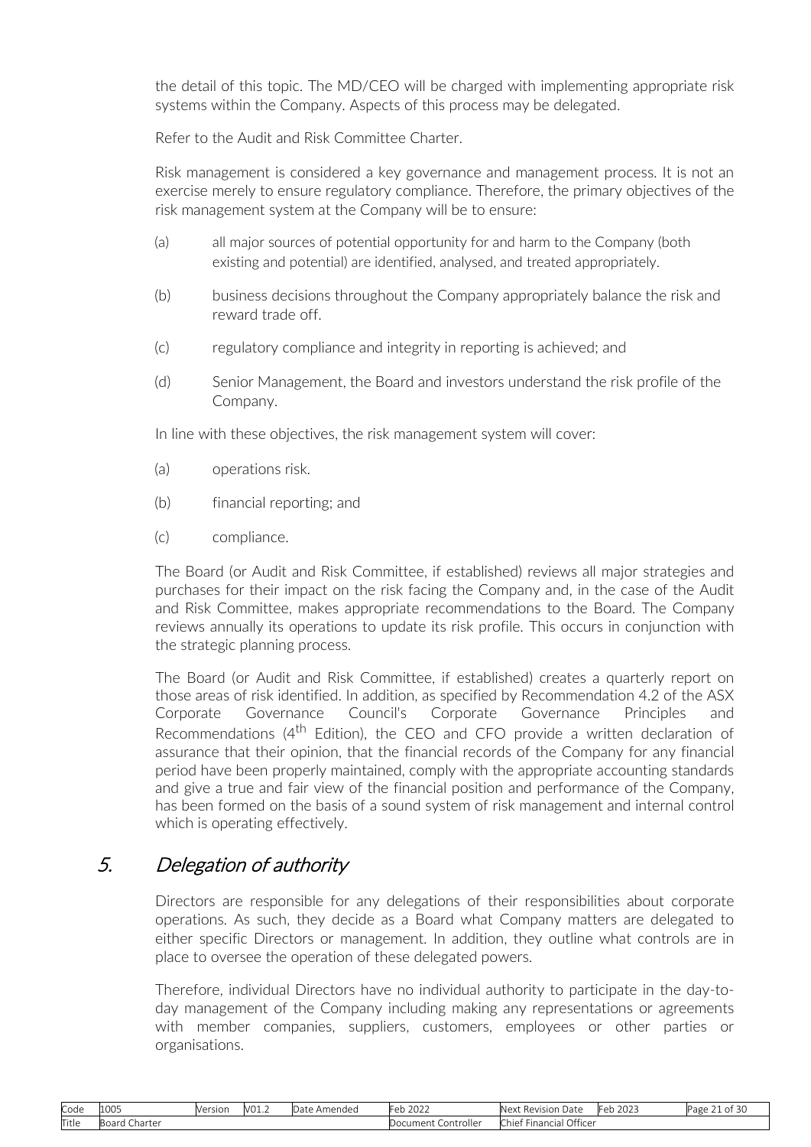<span id="page-20-0"></span>the detail of this topic. The MD/CEO will be charged with implementing appropriate risk systems within the Company. Aspects of this process may be delegated.

Refer to the Audit and Risk Committee Charter.

Risk management is considered a key governance and management process. It is not an exercise merely to ensure regulatory compliance. Therefore, the primary objectives of the risk management system at the Company will be to ensure:

- (a) all major sources of potential opportunity for and harm to the Company (both existing and potential) are identified, analysed, and treated appropriately.
- (b) business decisions throughout the Company appropriately balance the risk and reward trade off.
- (c) regulatory compliance and integrity in reporting is achieved; and
- (d) Senior Management, the Board and investors understand the risk profile of the Company.

In line with these objectives, the risk management system will cover:

- (a) operations risk.
- (b) financial reporting; and
- (c) compliance.

The Board (or Audit and Risk Committee, if established) reviews all major strategies and purchases for their impact on the risk facing the Company and, in the case of the Audit and Risk Committee, makes appropriate recommendations to the Board. The Company reviews annually its operations to update its risk profile. This occurs in conjunction with the strategic planning process.

The Board (or Audit and Risk Committee, if established) creates a quarterly report on those areas of risk identified. In addition, as specified by Recommendation 4.2 of the ASX Corporate Governance Council's Corporate Governance Principles and Recommendations (4<sup>th</sup> Edition), the CEO and CFO provide a written declaration of assurance that their opinion, that the financial records of the Company for any financial period have been properly maintained, comply with the appropriate accounting standards and give a true and fair view of the financial position and performance of the Company, has been formed on the basis of a sound system of risk management and internal control which is operating effectively.

# 5. Delegation of authority

Directors are responsible for any delegations of their responsibilities about corporate operations. As such, they decide as a Board what Company matters are delegated to either specific Directors or management. In addition, they outline what controls are in place to oversee the operation of these delegated powers.

Therefore, individual Directors have no individual authority to participate in the day-today management of the Company including making any representations or agreements with member companies, suppliers, customers, employees or other parties or organisations.

| Code  | 1005                  | Versior<br>V C I 31 U I | $\sim$<br>V01.2 | \mended<br>$\sim$<br>Jdle | $\bigcap$<br>$H \cap T$<br>2022 | -<br>Ne <sup>v+</sup><br>Date<br>⊀evision<br>' R⊢ | $\mathbf{a} \mathbf{a} \mathbf{a} \mathbf{b}$<br>طحا<br>ZUZJ<br>◡◡ | - -<br>Page<br>$\cdot$ |
|-------|-----------------------|-------------------------|-----------------|---------------------------|---------------------------------|---------------------------------------------------|--------------------------------------------------------------------|------------------------|
| Title | -<br>Charter<br>Board |                         |                 |                           | Controller<br>)cument.          | Officer<br>.<br>$-1$<br>* Financial<br>chief '    |                                                                    |                        |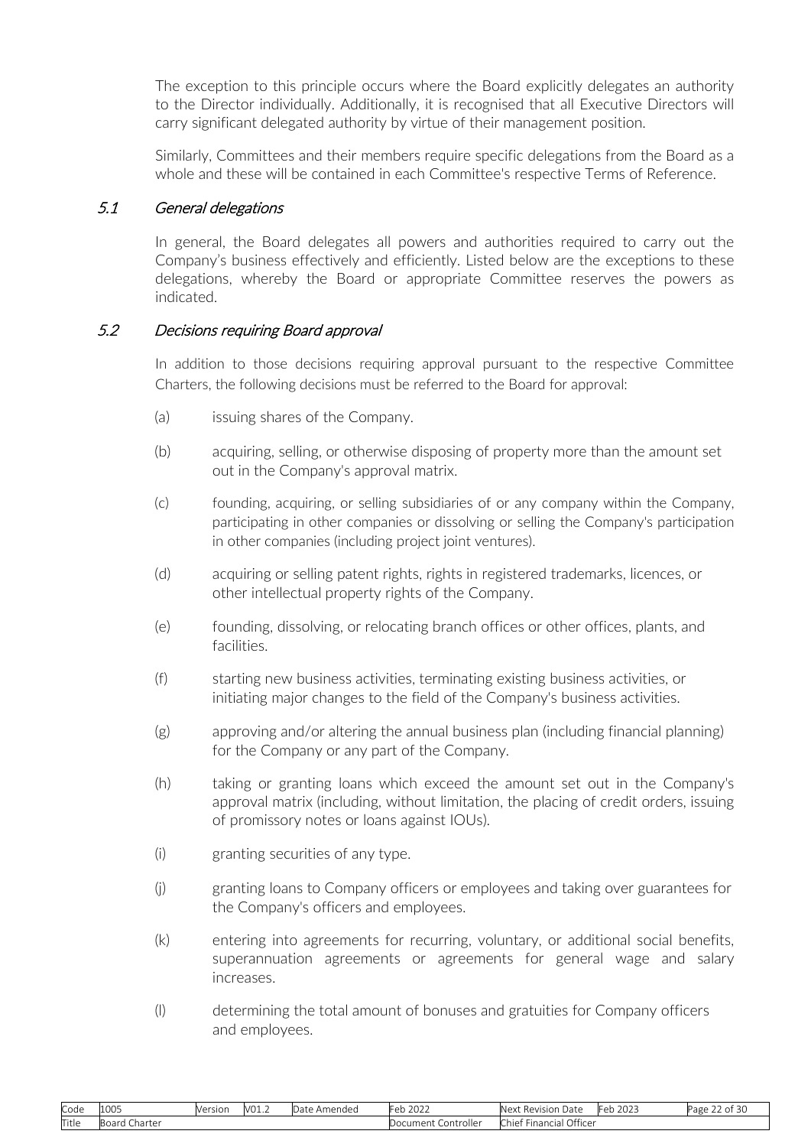<span id="page-21-0"></span>The exception to this principle occurs where the Board explicitly delegates an authority to the Director individually. Additionally, it is recognised that all Executive Directors will carry significant delegated authority by virtue of their management position.

Similarly, Committees and their members require specific delegations from the Board as a whole and these will be contained in each Committee's respective Terms of Reference.

#### 5.1 General delegations

In general, the Board delegates all powers and authorities required to carry out the Company's business effectively and efficiently. Listed below are the exceptions to these delegations, whereby the Board or appropriate Committee reserves the powers as indicated.

#### 5.2 Decisions requiring Board approval

In addition to those decisions requiring approval pursuant to the respective Committee Charters, the following decisions must be referred to the Board for approval:

- (a) issuing shares of the Company.
- (b) acquiring, selling, or otherwise disposing of property more than the amount set out in the Company's approval matrix.
- (c) founding, acquiring, or selling subsidiaries of or any company within the Company, participating in other companies or dissolving or selling the Company's participation in other companies (including project joint ventures).
- (d) acquiring or selling patent rights, rights in registered trademarks, licences, or other intellectual property rights of the Company.
- (e) founding, dissolving, or relocating branch offices or other offices, plants, and facilities.
- (f) starting new business activities, terminating existing business activities, or initiating major changes to the field of the Company's business activities.
- (g) approving and/or altering the annual business plan (including financial planning) for the Company or any part of the Company.
- (h) taking or granting loans which exceed the amount set out in the Company's approval matrix (including, without limitation, the placing of credit orders, issuing of promissory notes or loans against IOUs).
- (i) granting securities of any type.
- (j) granting loans to Company officers or employees and taking over guarantees for the Company's officers and employees.
- (k) entering into agreements for recurring, voluntary, or additional social benefits, superannuation agreements or agreements for general wage and salary increases.
- (l) determining the total amount of bonuses and gratuities for Company officers and employees.

| Code  | 1000<br>LUUS          | Version | V <sub>01.2</sub> | Amended<br>.)ate | 2022<br>⊢eh i              | $\sim$<br>$\overline{\phantom{a}}$<br>Date<br>Next<br>* Revision | $\sim$ $\sim$ $\sim$<br>⊺∩h<br>ZUZ-<br>$\mathbf{L}$ | $\sim$<br>--<br>Page<br>' of 30 |
|-------|-----------------------|---------|-------------------|------------------|----------------------------|------------------------------------------------------------------|-----------------------------------------------------|---------------------------------|
| Title | .<br>Charter<br>DUCIU |         |                   |                  | <br>Controller<br>Document | Officer<br>$\sim$<br>* Financiai J<br>- hief '                   |                                                     |                                 |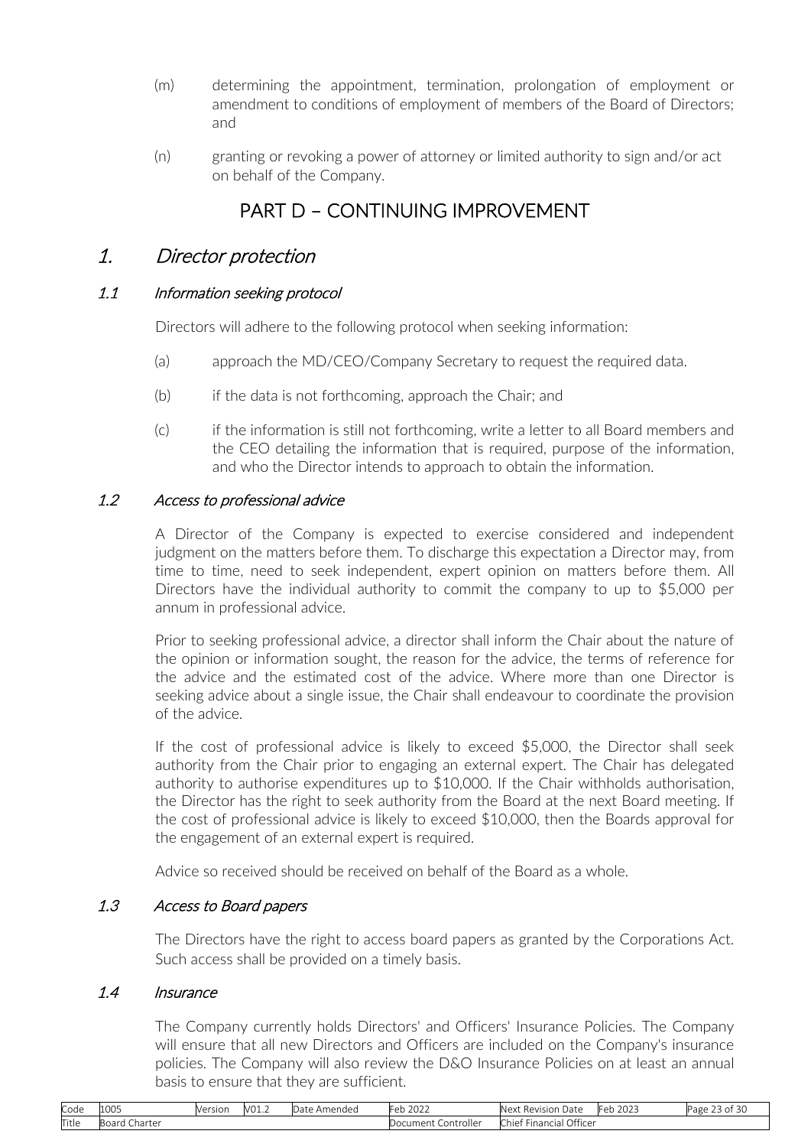- (m) determining the appointment, termination, prolongation of employment or amendment to conditions of employment of members of the Board of Directors; and
- (n) granting or revoking a power of attorney or limited authority to sign and/or act on behalf of the Company.

# PART D – CONTINUING IMPROVEMENT

## <span id="page-22-0"></span>1. Director protection

### 1.1 Information seeking protocol

Directors will adhere to the following protocol when seeking information:

- (a) approach the MD/CEO/Company Secretary to request the required data.
- (b) if the data is not forthcoming, approach the Chair; and
- (c) if the information is still not forthcoming, write a letter to all Board members and the CEO detailing the information that is required, purpose of the information, and who the Director intends to approach to obtain the information.

### 1.2 Access to professional advice

A Director of the Company is expected to exercise considered and independent judgment on the matters before them. To discharge this expectation a Director may, from time to time, need to seek independent, expert opinion on matters before them. All Directors have the individual authority to commit the company to up to \$5,000 per annum in professional advice.

Prior to seeking professional advice, a director shall inform the Chair about the nature of the opinion or information sought, the reason for the advice, the terms of reference for the advice and the estimated cost of the advice. Where more than one Director is seeking advice about a single issue, the Chair shall endeavour to coordinate the provision of the advice.

If the cost of professional advice is likely to exceed \$5,000, the Director shall seek authority from the Chair prior to engaging an external expert. The Chair has delegated authority to authorise expenditures up to \$10,000. If the Chair withholds authorisation, the Director has the right to seek authority from the Board at the next Board meeting. If the cost of professional advice is likely to exceed \$10,000, then the Boards approval for the engagement of an external expert is required.

Advice so received should be received on behalf of the Board as a whole.

### 1.3 Access to Board papers

The Directors have the right to access board papers as granted by the Corporations Act. Such access shall be provided on a timely basis.

### 1.4 Insurance

The Company currently holds Directors' and Officers' Insurance Policies. The Company will ensure that all new Directors and Officers are included on the Company's insurance policies. The Company will also review the D&O Insurance Policies on at least an annual basis to ensure that they are sufficient.

| Code  | 100 <sup>r</sup><br>LUU5 | Version | V01.2 | Amended ہ<br>$3 - + -$<br>Jale. | 222<br>Feb 202∠          | $\sim$<br>Next<br>-Revision Date | Feb<br>2023 | $\sim$<br>--<br>Page<br>∠3 of 30 |
|-------|--------------------------|---------|-------|---------------------------------|--------------------------|----------------------------------|-------------|----------------------------------|
| Title | -<br>Charter<br>Board    |         |       |                                 | . Controller<br>Document | Officer<br>Financial<br>chief    |             |                                  |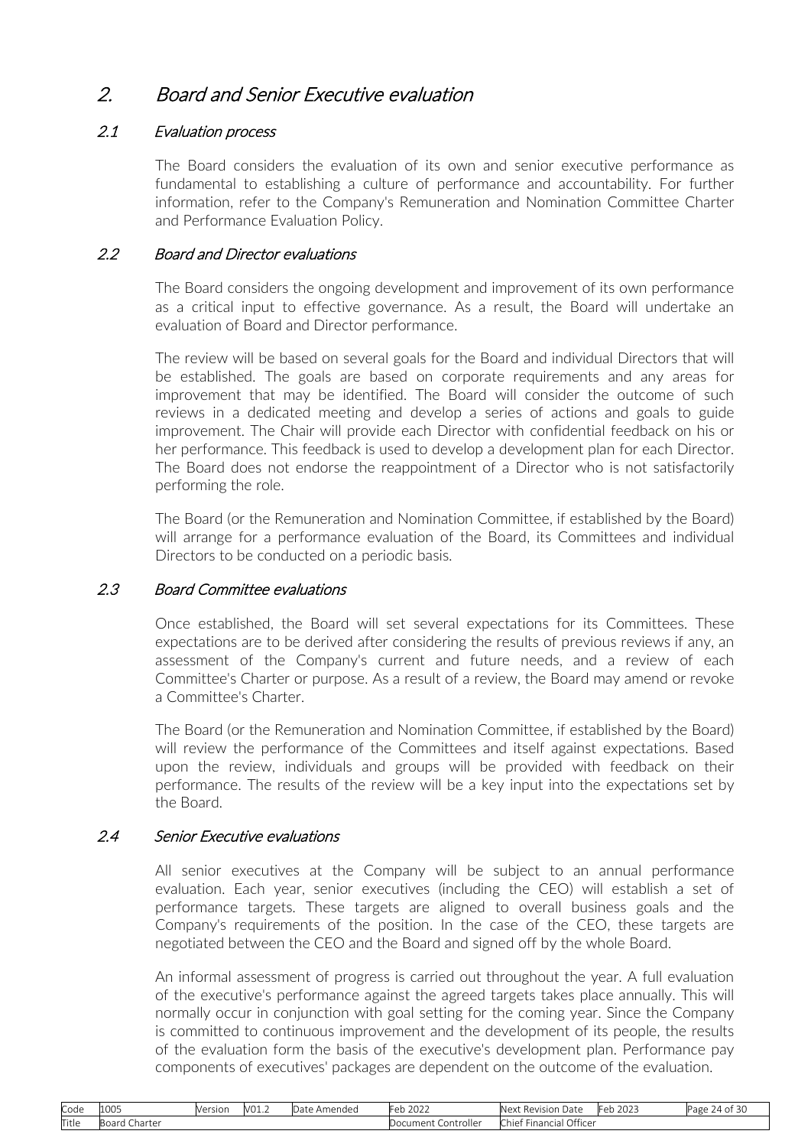# <span id="page-23-0"></span>2. Board and Senior Executive evaluation

## 2.1 Evaluation process

The Board considers the evaluation of its own and senior executive performance as fundamental to establishing a culture of performance and accountability. For further information, refer to the Company's Remuneration and Nomination Committee Charter and Performance Evaluation Policy.

## 2.2 Board and Director evaluations

The Board considers the ongoing development and improvement of its own performance as a critical input to effective governance. As a result, the Board will undertake an evaluation of Board and Director performance.

The review will be based on several goals for the Board and individual Directors that will be established. The goals are based on corporate requirements and any areas for improvement that may be identified. The Board will consider the outcome of such reviews in a dedicated meeting and develop a series of actions and goals to guide improvement. The Chair will provide each Director with confidential feedback on his or her performance. This feedback is used to develop a development plan for each Director. The Board does not endorse the reappointment of a Director who is not satisfactorily performing the role.

The Board (or the Remuneration and Nomination Committee, if established by the Board) will arrange for a performance evaluation of the Board, its Committees and individual Directors to be conducted on a periodic basis.

### 2.3 Board Committee evaluations

Once established, the Board will set several expectations for its Committees. These expectations are to be derived after considering the results of previous reviews if any, an assessment of the Company's current and future needs, and a review of each Committee's Charter or purpose. As a result of a review, the Board may amend or revoke a Committee's Charter.

The Board (or the Remuneration and Nomination Committee, if established by the Board) will review the performance of the Committees and itself against expectations. Based upon the review, individuals and groups will be provided with feedback on their performance. The results of the review will be a key input into the expectations set by the Board.

### 2.4 Senior Executive evaluations

All senior executives at the Company will be subject to an annual performance evaluation. Each year, senior executives (including the CEO) will establish a set of performance targets. These targets are aligned to overall business goals and the Company's requirements of the position. In the case of the CEO, these targets are negotiated between the CEO and the Board and signed off by the whole Board.

An informal assessment of progress is carried out throughout the year. A full evaluation of the executive's performance against the agreed targets takes place annually. This will normally occur in conjunction with goal setting for the coming year. Since the Company is committed to continuous improvement and the development of its people, the results of the evaluation form the basis of the executive's development plan. Performance pay components of executives' packages are dependent on the outcome of the evaluation.

| Code  | 1005                                  | Version | V01.7 | Amended<br>Date. | $\sim$ $\sim$ $\sim$<br>⊦eb<br>ZUZZ | .Next<br>$D$ <sup>0</sup> $n$ $n$ $n$<br>Date<br>. Re<br>. וטוצי׳ | $\sim$ $\sim$ $\sim$ $\sim$<br>- Ar<br>2023<br>$\mathbf{L}$ | $\sim$<br>Page<br>74 C<br>ЭU. |
|-------|---------------------------------------|---------|-------|------------------|-------------------------------------|-------------------------------------------------------------------|-------------------------------------------------------------|-------------------------------|
| Title | $\mathsf{D}$<br>-<br>Charter<br>Board |         |       |                  | Controller<br>')ocument             | $\bigcap_{i=1}^{n}$<br>-<br>Financial '<br>.:hie†<br>UTTICE       |                                                             |                               |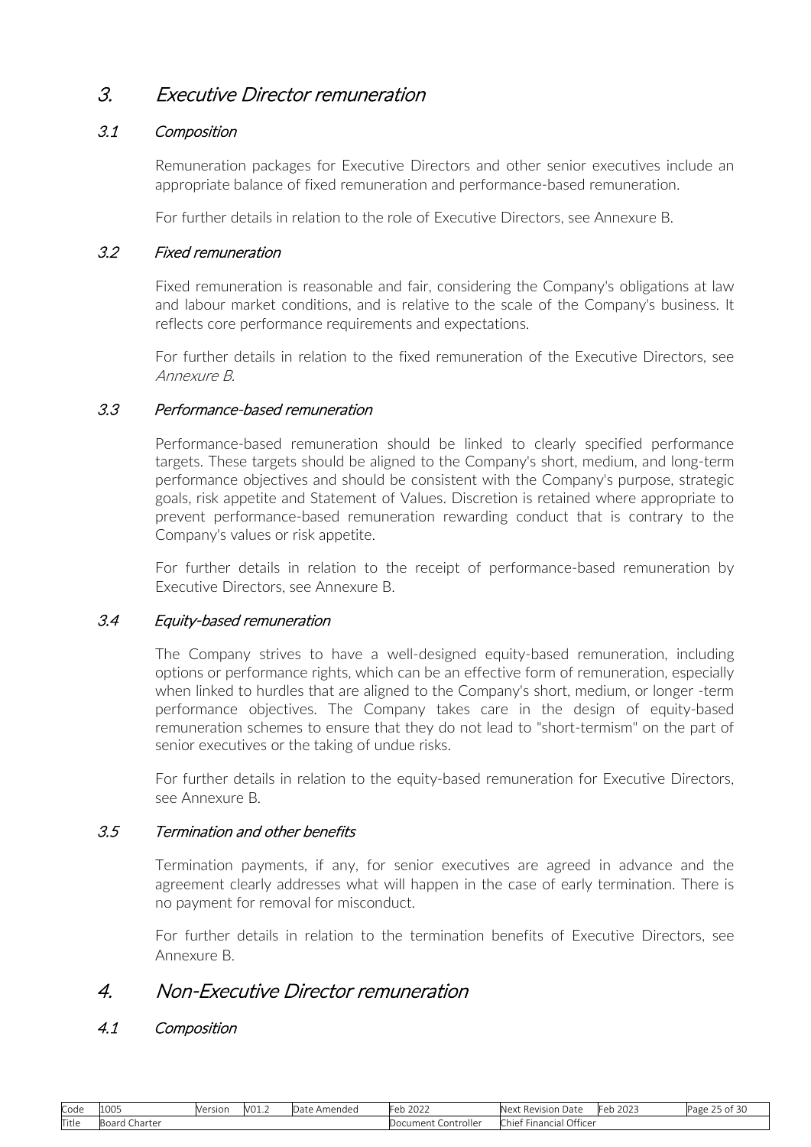# <span id="page-24-0"></span>3. Executive Director remuneration

## 3.1 Composition

Remuneration packages for Executive Directors and other senior executives include an appropriate balance of fixed remuneration and performance-based remuneration.

For further details in relation to the role of Executive Directors, see Annexure B.

## 3.2 Fixed remuneration

Fixed remuneration is reasonable and fair, considering the Company's obligations at law and labour market conditions, and is relative to the scale of the Company's business. It reflects core performance requirements and expectations.

For further details in relation to the fixed remuneration of the Executive Directors, see Annexure B.

## 3.3 Performance-based remuneration

Performance-based remuneration should be linked to clearly specified performance targets. These targets should be aligned to the Company's short, medium, and long-term performance objectives and should be consistent with the Company's purpose, strategic goals, risk appetite and Statement of Values. Discretion is retained where appropriate to prevent performance-based remuneration rewarding conduct that is contrary to the Company's values or risk appetite.

For further details in relation to the receipt of performance-based remuneration by Executive Directors, see Annexure B.

### 3.4 Equity-based remuneration

The Company strives to have a well-designed equity-based remuneration, including options or performance rights, which can be an effective form of remuneration, especially when linked to hurdles that are aligned to the Company's short, medium, or longer -term performance objectives. The Company takes care in the design of equity-based remuneration schemes to ensure that they do not lead to "short-termism" on the part of senior executives or the taking of undue risks.

For further details in relation to the equity-based remuneration for Executive Directors, see Annexure B.

### 3.5 Termination and other benefits

Termination payments, if any, for senior executives are agreed in advance and the agreement clearly addresses what will happen in the case of early termination. There is no payment for removal for misconduct.

For further details in relation to the termination benefits of Executive Directors, see Annexure B.

## <span id="page-24-1"></span>4. Non-Executive Director remuneration

### 4.1 Composition

| Code  | 1005   | __<br>Version | V01.7 | Amended<br>Jdl | Feb<br>$\sim$ $\sim$ $\sim$<br>2022 | Next<br>Date<br>. Revision    | 0.2021<br>⊩≏⊳ | --<br>∽<br>Page<br>ot 30 |
|-------|--------|---------------|-------|----------------|-------------------------------------|-------------------------------|---------------|--------------------------|
| Title | narte. |               |       |                | Controller<br>uocument 1            | Officer<br>Financial<br>:hief |               |                          |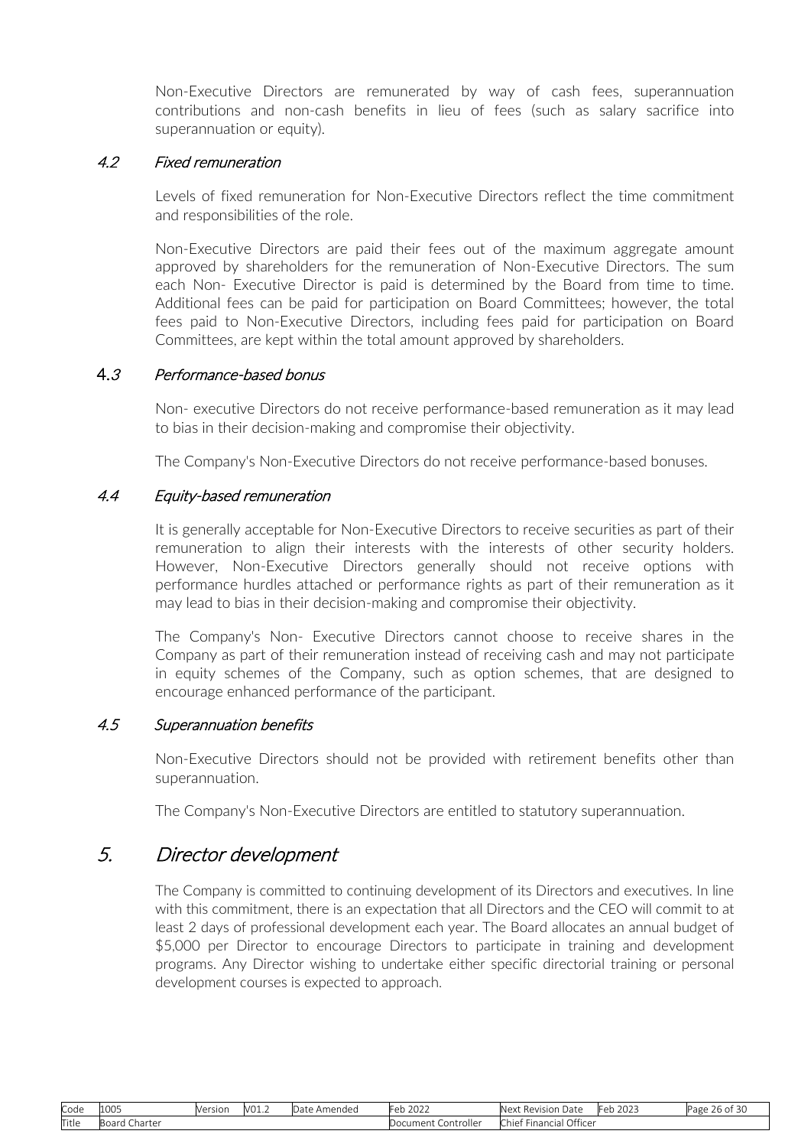Non-Executive Directors are remunerated by way of cash fees, superannuation contributions and non-cash benefits in lieu of fees (such as salary sacrifice into superannuation or equity).

#### 4.2 Fixed remuneration

Levels of fixed remuneration for Non-Executive Directors reflect the time commitment and responsibilities of the role.

Non-Executive Directors are paid their fees out of the maximum aggregate amount approved by shareholders for the remuneration of Non-Executive Directors. The sum each Non- Executive Director is paid is determined by the Board from time to time. Additional fees can be paid for participation on Board Committees; however, the total fees paid to Non-Executive Directors, including fees paid for participation on Board Committees, are kept within the total amount approved by shareholders.

#### 4.<sup>3</sup> Performance-based bonus

Non- executive Directors do not receive performance-based remuneration as it may lead to bias in their decision-making and compromise their objectivity.

The Company's Non-Executive Directors do not receive performance-based bonuses.

#### 4.4 Equity-based remuneration

It is generally acceptable for Non-Executive Directors to receive securities as part of their remuneration to align their interests with the interests of other security holders. However, Non-Executive Directors generally should not receive options with performance hurdles attached or performance rights as part of their remuneration as it may lead to bias in their decision-making and compromise their objectivity.

The Company's Non- Executive Directors cannot choose to receive shares in the Company as part of their remuneration instead of receiving cash and may not participate in equity schemes of the Company, such as option schemes, that are designed to encourage enhanced performance of the participant.

#### 4.5 Superannuation benefits

Non-Executive Directors should not be provided with retirement benefits other than superannuation.

The Company's Non-Executive Directors are entitled to statutory superannuation.

## 5. Director development

The Company is committed to continuing development of its Directors and executives. In line with this commitment, there is an expectation that all Directors and the CEO will commit to at least 2 days of professional development each year. The Board allocates an annual budget of \$5,000 per Director to encourage Directors to participate in training and development programs. Any Director wishing to undertake either specific directorial training or personal development courses is expected to approach.

| Code  | 1005            | Version | V01.2 | Amended<br>$\sim$<br>Dale | $\sim$ $\sim$ $\sim$<br>$\sim$<br>ZUZZ | Next <b>h</b><br>-<br>Revision<br>Date                                                   | $\sim$ $\sim$ $\sim$<br>$  -$<br>ZUZJ<br>◡◡ | --<br>$\sim$<br>Page<br>u su<br>. |
|-------|-----------------|---------|-------|---------------------------|----------------------------------------|------------------------------------------------------------------------------------------|---------------------------------------------|-----------------------------------|
| Title | - Board Charter |         |       |                           | Controller<br>ument '                  | <b>COLUM</b><br>Office <sup>®</sup><br>$\sim$<br>$\cdot$ Financis<br>-nief<br>шан<br>. U |                                             |                                   |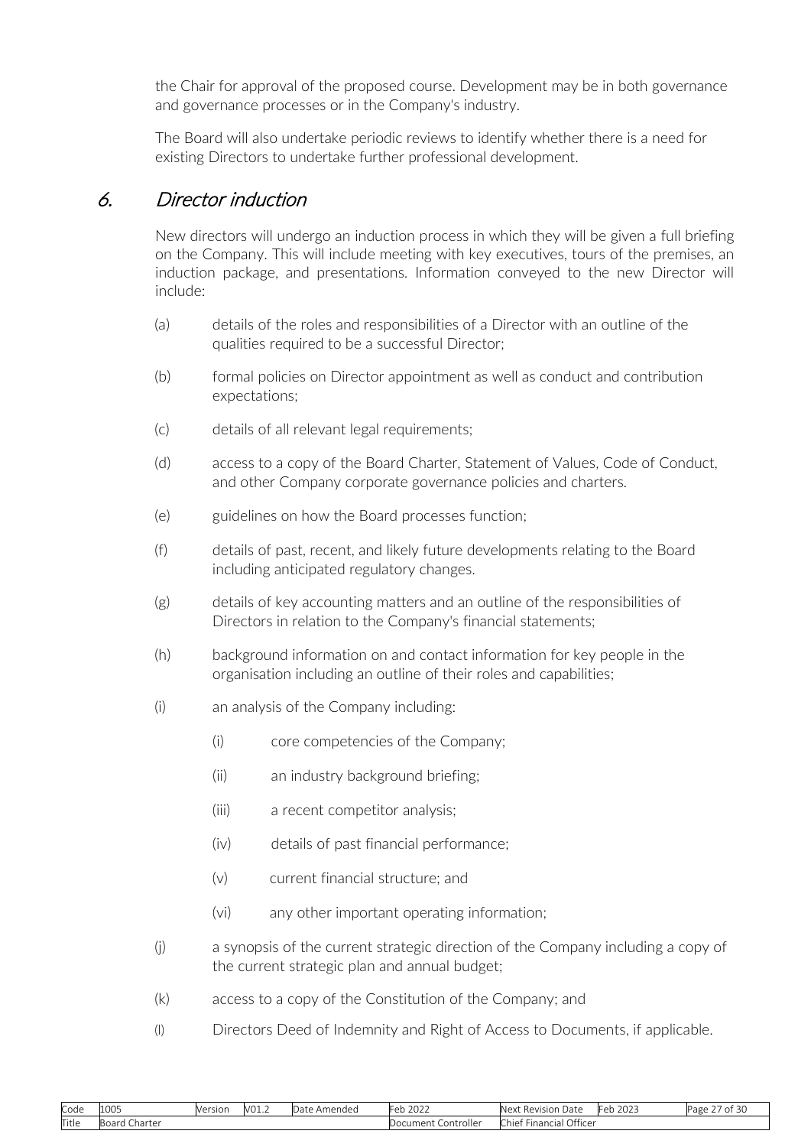<span id="page-26-0"></span>the Chair for approval of the proposed course. Development may be in both governance and governance processes or in the Company's industry.

The Board will also undertake periodic reviews to identify whether there is a need for existing Directors to undertake further professional development.

## 6. Director induction

New directors will undergo an induction process in which they will be given a full briefing on the Company. This will include meeting with key executives, tours of the premises, an induction package, and presentations. Information conveyed to the new Director will include:

- (a) details of the roles and responsibilities of a Director with an outline of the qualities required to be a successful Director;
- (b) formal policies on Director appointment as well as conduct and contribution expectations;
- (c) details of all relevant legal requirements;
- (d) access to a copy of the Board Charter, Statement of Values, Code of Conduct, and other Company corporate governance policies and charters.
- (e) guidelines on how the Board processes function;
- (f) details of past, recent, and likely future developments relating to the Board including anticipated regulatory changes.
- (g) details of key accounting matters and an outline of the responsibilities of Directors in relation to the Company's financial statements;
- (h) background information on and contact information for key people in the organisation including an outline of their roles and capabilities;
- (i) an analysis of the Company including:
	- (i) core competencies of the Company;
	- (ii) an industry background briefing;
	- (iii) a recent competitor analysis;
	- (iv) details of past financial performance;
	- (v) current financial structure; and
	- (vi) any other important operating information;
- (j) a synopsis of the current strategic direction of the Company including a copy of the current strategic plan and annual budget;
- (k) access to a copy of the Constitution of the Company; and
- (l) Directors Deed of Indemnity and Right of Access to Documents, if applicable.

| Code  | 1005                         | Version | V <sub>01.2</sub> | Amended<br>Date. | 2022<br>⊩eb<br>ZUZZ      | Next<br>Revision<br>Date                       | $\sim$ $\sim$ $\sim$<br>Feb<br>2023 | --<br>Page<br>U.<br>ΩL |
|-------|------------------------------|---------|-------------------|------------------|--------------------------|------------------------------------------------|-------------------------------------|------------------------|
| Title | ⊪R∩ard<br>Charter<br>ibuai u |         |                   |                  | Document<br>. Controller | Office <sup>®</sup><br>Chief<br>.<br>Financial |                                     |                        |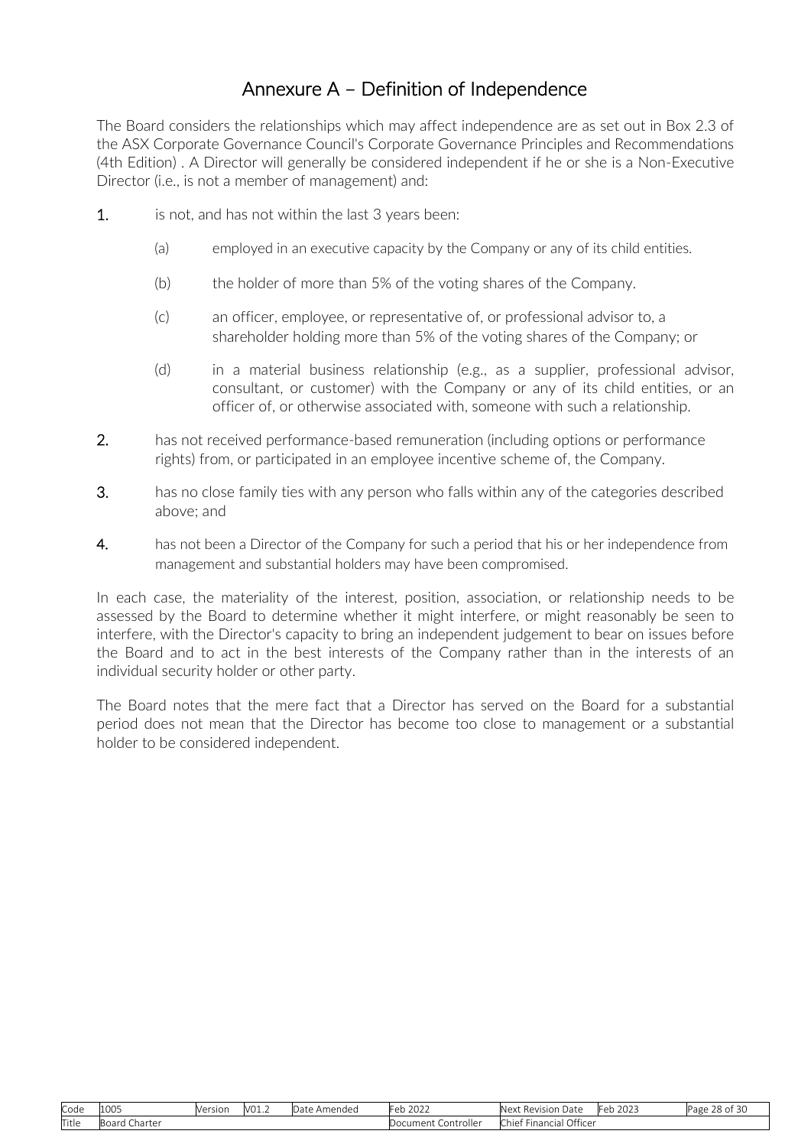# Annexure A – Definition of Independence

<span id="page-27-0"></span>The Board considers the relationships which may affect independence are as set out in Box 2.3 of the ASX Corporate Governance Council's Corporate Governance Principles and Recommendations (4th Edition) . A Director will generally be considered independent if he or she is a Non-Executive Director (i.e., is not a member of management) and:

- 1. is not, and has not within the last 3 years been:
	- (a) employed in an executive capacity by the Company or any of its child entities.
	- (b) the holder of more than 5% of the voting shares of the Company.
	- (c) an officer, employee, or representative of, or professional advisor to, a shareholder holding more than 5% of the voting shares of the Company; or
	- (d) in a material business relationship (e.g., as a supplier, professional advisor, consultant, or customer) with the Company or any of its child entities, or an officer of, or otherwise associated with, someone with such a relationship.
- 2. has not received performance-based remuneration (including options or performance rights) from, or participated in an employee incentive scheme of, the Company.
- 3. has no close family ties with any person who falls within any of the categories described above; and
- 4. has not been a Director of the Company for such a period that his or her independence from management and substantial holders may have been compromised.

In each case, the materiality of the interest, position, association, or relationship needs to be assessed by the Board to determine whether it might interfere, or might reasonably be seen to interfere, with the Director's capacity to bring an independent judgement to bear on issues before the Board and to act in the best interests of the Company rather than in the interests of an individual security holder or other party.

The Board notes that the mere fact that a Director has served on the Board for a substantial period does not mean that the Director has become too close to management or a substantial holder to be considered independent.

| Code  | 1000<br>LUUJ     | Version | 101<br>'V∪⊥.∠ | Jate<br>Amended | $\cap$<br>$\sim$<br>ZUZZ | <b>Nex</b><br>Revision<br>Date       | . .<br>$\sim$ $\sim$ $\sim$<br>lFeb<br>2023 | $\sim$ $\sim$<br>$\sim$<br>Page<br>וכו וט |
|-------|------------------|---------|---------------|-----------------|--------------------------|--------------------------------------|---------------------------------------------|-------------------------------------------|
| Title | Charter<br>Board |         |               |                 | Controller<br>)ocument   | Officer<br>Financial<br><b>Chief</b> |                                             |                                           |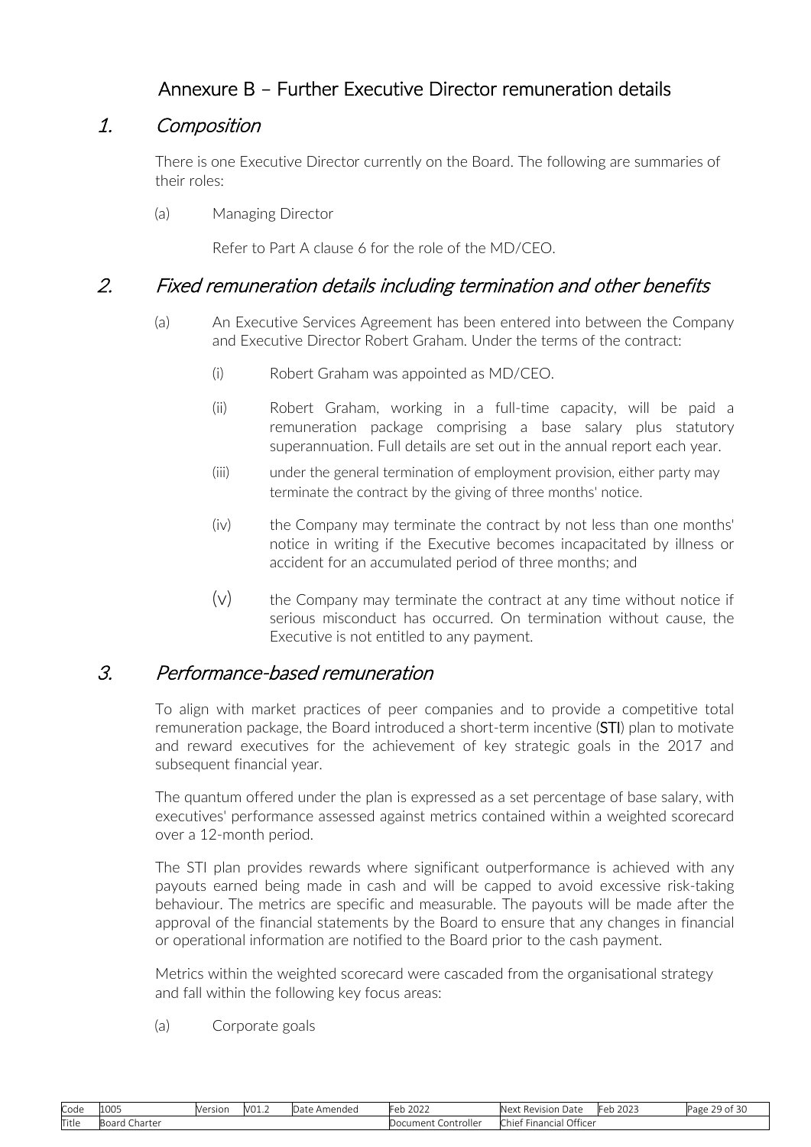# Annexure B – Further Executive Director remuneration details

## <span id="page-28-0"></span>1. Composition

There is one Executive Director currently on the Board. The following are summaries of their roles:

(a) Managing Director

Refer to Part A clause [6 f](#page-13-0)or the role of the MD/CEO.

## 2. Fixed remuneration details including termination and other benefits

- (a) An Executive Services Agreement has been entered into between the Company and Executive Director Robert Graham. Under the terms of the contract:
	- (i) Robert Graham was appointed as MD/CEO.
	- (ii) Robert Graham, working in a full-time capacity, will be paid a remuneration package comprising a base salary plus statutory superannuation. Full details are set out in the annual report each year.
	- (iii) under the general termination of employment provision, either party may terminate the contract by the giving of three months' notice.
	- (iv) the Company may terminate the contract by not less than one months' notice in writing if the Executive becomes incapacitated by illness or accident for an accumulated period of three months; and
	- $(v)$  the Company may terminate the contract at any time without notice if serious misconduct has occurred. On termination without cause, the Executive is not entitled to any payment.

## 3. Performance-based remuneration

To align with market practices of peer companies and to provide a competitive total remuneration package, the Board introduced a short-term incentive (STI) plan to motivate and reward executives for the achievement of key strategic goals in the 2017 and subsequent financial year.

The quantum offered under the plan is expressed as a set percentage of base salary, with executives' performance assessed against metrics contained within a weighted scorecard over a 12-month period.

The STI plan provides rewards where significant outperformance is achieved with any payouts earned being made in cash and will be capped to avoid excessive risk-taking behaviour. The metrics are specific and measurable. The payouts will be made after the approval of the financial statements by the Board to ensure that any changes in financial or operational information are notified to the Board prior to the cash payment.

Metrics within the weighted scorecard were cascaded from the organisational strategy and fall within the following key focus areas:

(a) Corporate goals

| Code  | 1005                        | Version | V <sub>01.2</sub> | Amended<br>Date. | 202<br>+eb<br>ZUZZ       | Next Revision<br>Date.                 | $\sim$ $\sim$ $\sim$<br>+eb<br>2023 | $\sim$<br><sup>o</sup> age<br>. <b>.</b><br>$\cup$ |
|-------|-----------------------------|---------|-------------------|------------------|--------------------------|----------------------------------------|-------------------------------------|----------------------------------------------------|
| Title | $-0.0$<br>Charter<br>iboard |         |                   |                  | . Controller<br>Document | Office<br>-<br>-<br>Financial<br>Chief |                                     |                                                    |